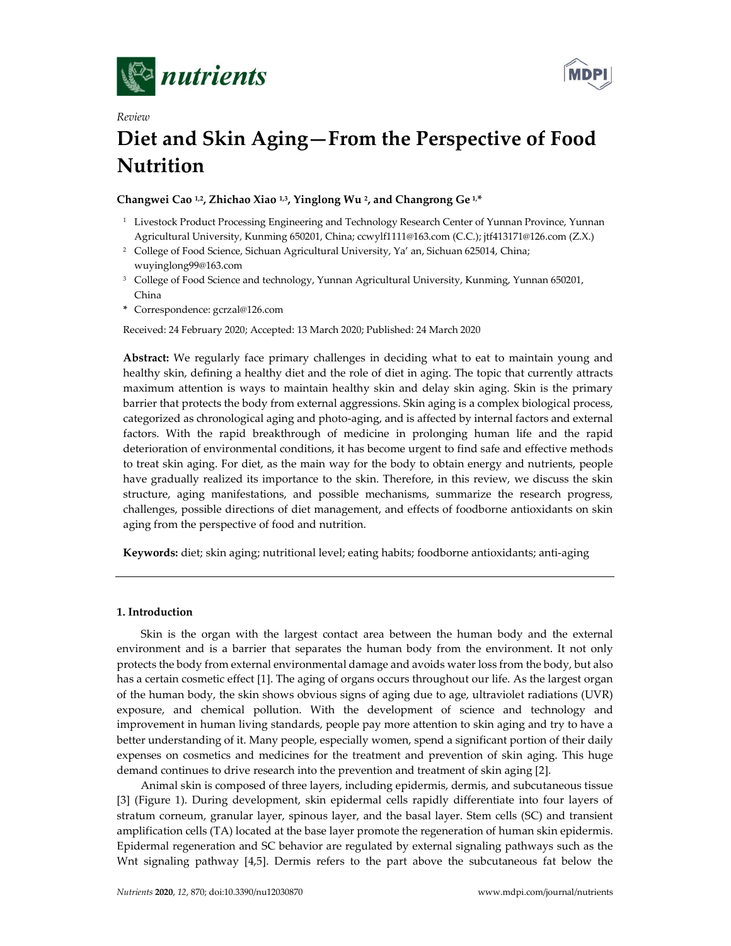

*Review*



# **Diet and Skin Aging—From the Perspective of Food Nutrition**

## **Changwei Cao 1,2, Zhichao Xiao 1,3, Yinglong Wu 2, and Changrong Ge 1, \***

- <sup>1</sup> Livestock Product Processing Engineering and Technology Research Center of Yunnan Province, Yunnan Agricultural University, Kunming 650201, China; ccwylf1111@163.com (C.C.); jtf413171@126.com (Z.X.)
- <sup>2</sup> College of Food Science, Sichuan Agricultural University, Ya' an, Sichuan 625014, China; wuyinglong99@163.com
- <sup>3</sup> College of Food Science and technology, Yunnan Agricultural University, Kunming, Yunnan 650201, China
- **\*** Correspondence: gcrzal@126.com

Received: 24 February 2020; Accepted: 13 March 2020; Published: 24 March 2020

**Abstract:** We regularly face primary challenges in deciding what to eat to maintain young and healthy skin, defining a healthy diet and the role of diet in aging. The topic that currently attracts maximum attention is ways to maintain healthy skin and delay skin aging. Skin is the primary barrier that protects the body from external aggressions. Skin aging is a complex biological process, categorized as chronological aging and photo-aging, and is affected by internal factors and external factors. With the rapid breakthrough of medicine in prolonging human life and the rapid deterioration of environmental conditions, it has become urgent to find safe and effective methods to treat skin aging. For diet, as the main way for the body to obtain energy and nutrients, people have gradually realized its importance to the skin. Therefore, in this review, we discuss the skin structure, aging manifestations, and possible mechanisms, summarize the research progress, challenges, possible directions of diet management, and effects of foodborne antioxidants on skin aging from the perspective of food and nutrition.

**Keywords:** diet; skin aging; nutritional level; eating habits; foodborne antioxidants; anti-aging

## **1. Introduction**

Skin is the organ with the largest contact area between the human body and the external environment and is a barrier that separates the human body from the environment. It not only protects the body from external environmental damage and avoids water loss from the body, but also has a certain cosmetic effect [1]. The aging of organs occurs throughout our life. As the largest organ of the human body, the skin shows obvious signs of aging due to age, ultraviolet radiations (UVR) exposure, and chemical pollution. With the development of science and technology and improvement in human living standards, people pay more attention to skin aging and try to have a better understanding of it. Many people, especially women, spend a significant portion of their daily expenses on cosmetics and medicines for the treatment and prevention of skin aging. This huge demand continues to drive research into the prevention and treatment of skin aging [2].

Animal skin is composed of three layers, including epidermis, dermis, and subcutaneous tissue [3] (Figure 1). During development, skin epidermal cells rapidly differentiate into four layers of stratum corneum, granular layer, spinous layer, and the basal layer. Stem cells (SC) and transient amplification cells (TA) located at the base layer promote the regeneration of human skin epidermis. Epidermal regeneration and SC behavior are regulated by external signaling pathways such as the Wnt signaling pathway [4,5]. Dermis refers to the part above the subcutaneous fat below the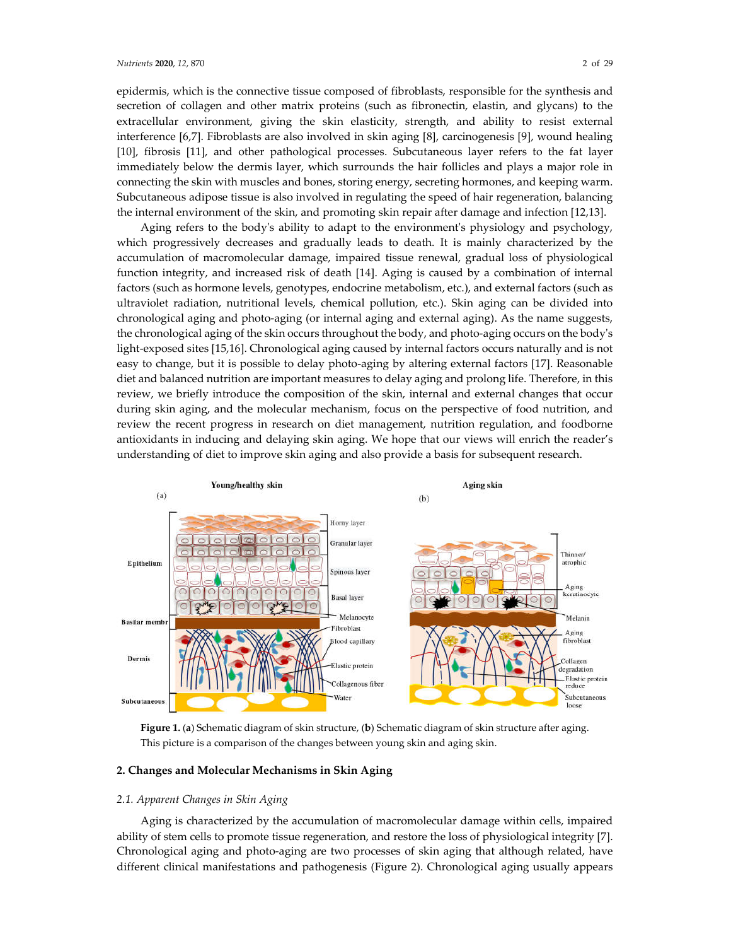epidermis, which is the connective tissue composed of fibroblasts, responsible for the synthesis and secretion of collagen and other matrix proteins (such as fibronectin, elastin, and glycans) to the extracellular environment, giving the skin elasticity, strength, and ability to resist external interference [6,7]. Fibroblasts are also involved in skin aging [8], carcinogenesis [9], wound healing [10], fibrosis [11], and other pathological processes. Subcutaneous layer refers to the fat layer immediately below the dermis layer, which surrounds the hair follicles and plays a major role in connecting the skin with muscles and bones, storing energy, secreting hormones, and keeping warm. Subcutaneous adipose tissue is also involved in regulating the speed of hair regeneration, balancing the internal environment of the skin, and promoting skin repair after damage and infection [12,13].

Aging refers to the body's ability to adapt to the environment's physiology and psychology, which progressively decreases and gradually leads to death. It is mainly characterized by the accumulation of macromolecular damage, impaired tissue renewal, gradual loss of physiological function integrity, and increased risk of death [14]. Aging is caused by a combination of internal factors (such as hormone levels, genotypes, endocrine metabolism, etc.), and external factors (such as ultraviolet radiation, nutritional levels, chemical pollution, etc.). Skin aging can be divided into chronological aging and photo-aging (or internal aging and external aging). As the name suggests, the chronological aging of the skin occurs throughout the body, and photo-aging occurs on the body's light-exposed sites [15,16]. Chronological aging caused by internal factors occurs naturally and is not easy to change, but it is possible to delay photo-aging by altering external factors [17]. Reasonable diet and balanced nutrition are important measures to delay aging and prolong life. Therefore, in this review, we briefly introduce the composition of the skin, internal and external changes that occur during skin aging, and the molecular mechanism, focus on the perspective of food nutrition, and review the recent progress in research on diet management, nutrition regulation, and foodborne antioxidants in inducing and delaying skin aging. We hope that our views will enrich the reader's understanding of diet to improve skin aging and also provide a basis for subsequent research.



**Figure 1.** (**a**) Schematic diagram of skin structure, (**b**) Schematic diagram of skin structure after aging. This picture is a comparison of the changes between young skin and aging skin.

### **2. Changes and Molecular Mechanisms in Skin Aging**

### *2.1. Apparent Changes in Skin Aging*

Aging is characterized by the accumulation of macromolecular damage within cells, impaired ability of stem cells to promote tissue regeneration, and restore the loss of physiological integrity [7]. Chronological aging and photo-aging are two processes of skin aging that although related, have different clinical manifestations and pathogenesis (Figure 2). Chronological aging usually appears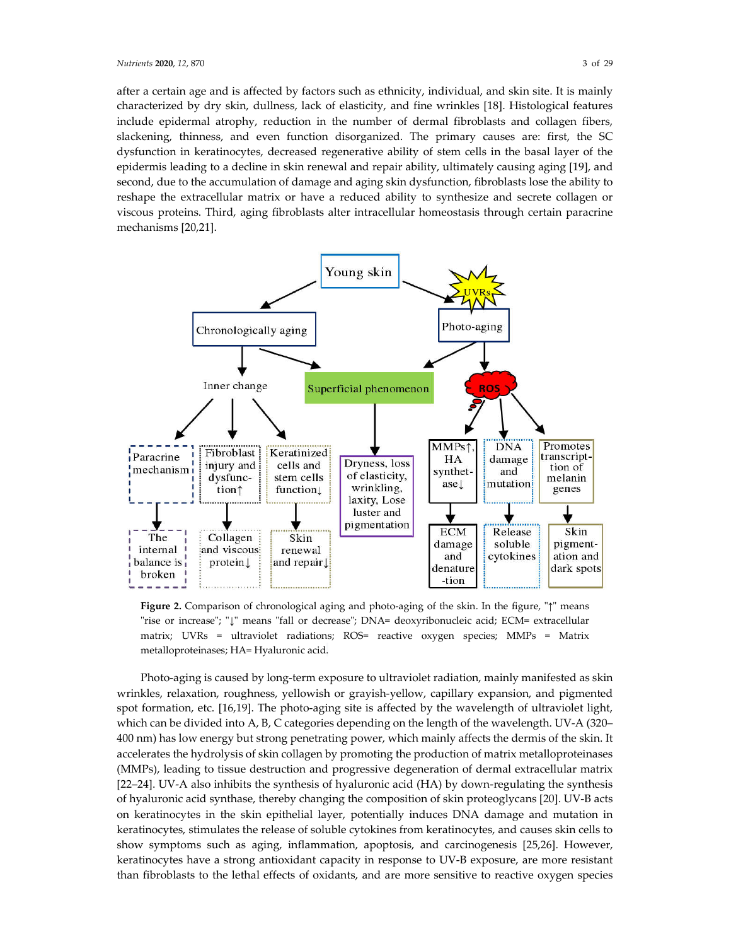after a certain age and is affected by factors such as ethnicity, individual, and skin site. It is mainly characterized by dry skin, dullness, lack of elasticity, and fine wrinkles [18]. Histological features include epidermal atrophy, reduction in the number of dermal fibroblasts and collagen fibers, slackening, thinness, and even function disorganized. The primary causes are: first, the SC dysfunction in keratinocytes, decreased regenerative ability of stem cells in the basal layer of the epidermis leading to a decline in skin renewal and repair ability, ultimately causing aging [19], and second, due to the accumulation of damage and aging skin dysfunction, fibroblasts lose the ability to reshape the extracellular matrix or have a reduced ability to synthesize and secrete collagen or viscous proteins. Third, aging fibroblasts alter intracellular homeostasis through certain paracrine mechanisms [20,21].



**Figure 2.** Comparison of chronological aging and photo-aging of the skin. In the figure, "↑" means "rise or increase"; "↓" means "fall or decrease"; DNA= deoxyribonucleic acid; ECM= extracellular matrix; UVRs = ultraviolet radiations; ROS= reactive oxygen species; MMPs = Matrix metalloproteinases; HA= Hyaluronic acid.

Photo-aging is caused by long-term exposure to ultraviolet radiation, mainly manifested as skin wrinkles, relaxation, roughness, yellowish or grayish-yellow, capillary expansion, and pigmented spot formation, etc. [16,19]. The photo-aging site is affected by the wavelength of ultraviolet light, which can be divided into A, B, C categories depending on the length of the wavelength. UV-A (320– 400 nm) has low energy but strong penetrating power, which mainly affects the dermis of the skin. It accelerates the hydrolysis of skin collagen by promoting the production of matrix metalloproteinases (MMPs), leading to tissue destruction and progressive degeneration of dermal extracellular matrix [22–24]. UV-A also inhibits the synthesis of hyaluronic acid (HA) by down-regulating the synthesis of hyaluronic acid synthase, thereby changing the composition of skin proteoglycans [20]. UV-B acts on keratinocytes in the skin epithelial layer, potentially induces DNA damage and mutation in keratinocytes, stimulates the release of soluble cytokines from keratinocytes, and causes skin cells to show symptoms such as aging, inflammation, apoptosis, and carcinogenesis [25,26]. However, keratinocytes have a strong antioxidant capacity in response to UV-B exposure, are more resistant than fibroblasts to the lethal effects of oxidants, and are more sensitive to reactive oxygen species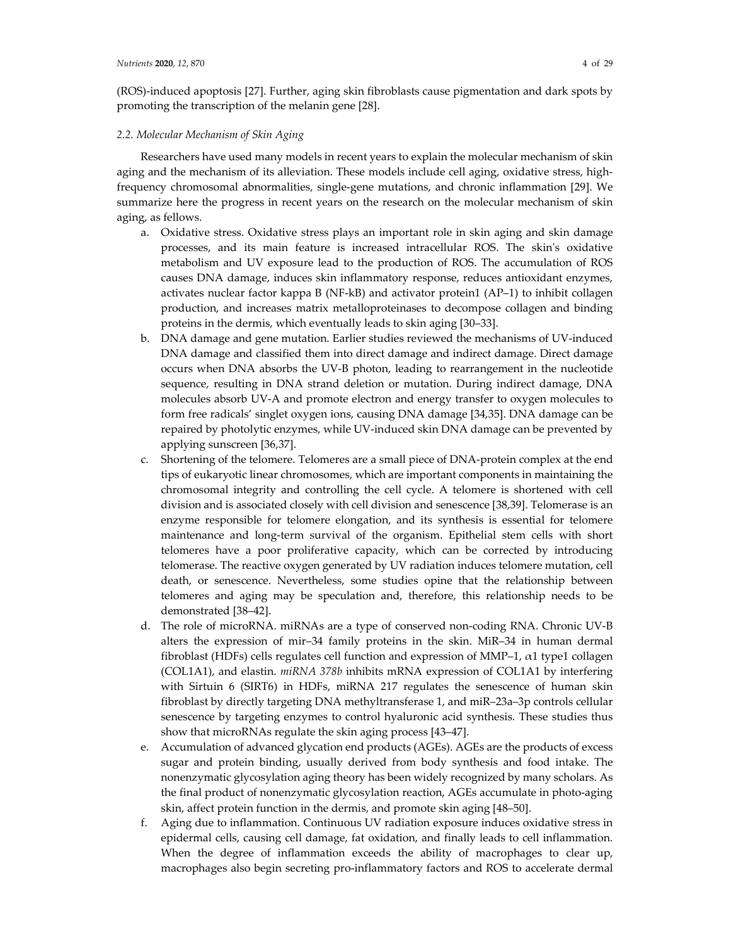(ROS)-induced apoptosis [27]. Further, aging skin fibroblasts cause pigmentation and dark spots by promoting the transcription of the melanin gene [28].

## *2.2. Molecular Mechanism of Skin Aging*

Researchers have used many models in recent years to explain the molecular mechanism of skin aging and the mechanism of its alleviation. These models include cell aging, oxidative stress, highfrequency chromosomal abnormalities, single-gene mutations, and chronic inflammation [29]. We summarize here the progress in recent years on the research on the molecular mechanism of skin aging, as fellows.

- a. Oxidative stress. Oxidative stress plays an important role in skin aging and skin damage processes, and its main feature is increased intracellular ROS. The skin's oxidative metabolism and UV exposure lead to the production of ROS. The accumulation of ROS causes DNA damage, induces skin inflammatory response, reduces antioxidant enzymes, activates nuclear factor kappa B (NF-kB) and activator protein1 (AP–1) to inhibit collagen production, and increases matrix metalloproteinases to decompose collagen and binding proteins in the dermis, which eventually leads to skin aging [30–33].
- b. DNA damage and gene mutation. Earlier studies reviewed the mechanisms of UV-induced DNA damage and classified them into direct damage and indirect damage. Direct damage occurs when DNA absorbs the UV-B photon, leading to rearrangement in the nucleotide sequence, resulting in DNA strand deletion or mutation. During indirect damage, DNA molecules absorb UV-A and promote electron and energy transfer to oxygen molecules to form free radicals' singlet oxygen ions, causing DNA damage [34,35]. DNA damage can be repaired by photolytic enzymes, while UV-induced skin DNA damage can be prevented by applying sunscreen [36,37].
- c. Shortening of the telomere. Telomeres are a small piece of DNA-protein complex at the end tips of eukaryotic linear chromosomes, which are important components in maintaining the chromosomal integrity and controlling the cell cycle. A telomere is shortened with cell division and is associated closely with cell division and senescence [38,39]. Telomerase is an enzyme responsible for telomere elongation, and its synthesis is essential for telomere maintenance and long-term survival of the organism. Epithelial stem cells with short telomeres have a poor proliferative capacity, which can be corrected by introducing telomerase. The reactive oxygen generated by UV radiation induces telomere mutation, cell death, or senescence. Nevertheless, some studies opine that the relationship between telomeres and aging may be speculation and, therefore, this relationship needs to be demonstrated [38–42].
- d. The role of microRNA. miRNAs are a type of conserved non-coding RNA. Chronic UV-B alters the expression of mir–34 family proteins in the skin. MiR–34 in human dermal fibroblast (HDFs) cells regulates cell function and expression of MMP–1, α1 type1 collagen (COL1A1), and elastin. *miRNA 378b* inhibits mRNA expression of COL1A1 by interfering with Sirtuin 6 (SIRT6) in HDFs, miRNA 217 regulates the senescence of human skin fibroblast by directly targeting DNA methyltransferase 1, and miR–23a–3p controls cellular senescence by targeting enzymes to control hyaluronic acid synthesis. These studies thus show that microRNAs regulate the skin aging process [43–47].
- e. Accumulation of advanced glycation end products (AGEs). AGEs are the products of excess sugar and protein binding, usually derived from body synthesis and food intake. The nonenzymatic glycosylation aging theory has been widely recognized by many scholars. As the final product of nonenzymatic glycosylation reaction, AGEs accumulate in photo-aging skin, affect protein function in the dermis, and promote skin aging [48–50].
- f. Aging due to inflammation. Continuous UV radiation exposure induces oxidative stress in epidermal cells, causing cell damage, fat oxidation, and finally leads to cell inflammation. When the degree of inflammation exceeds the ability of macrophages to clear up, macrophages also begin secreting pro-inflammatory factors and ROS to accelerate dermal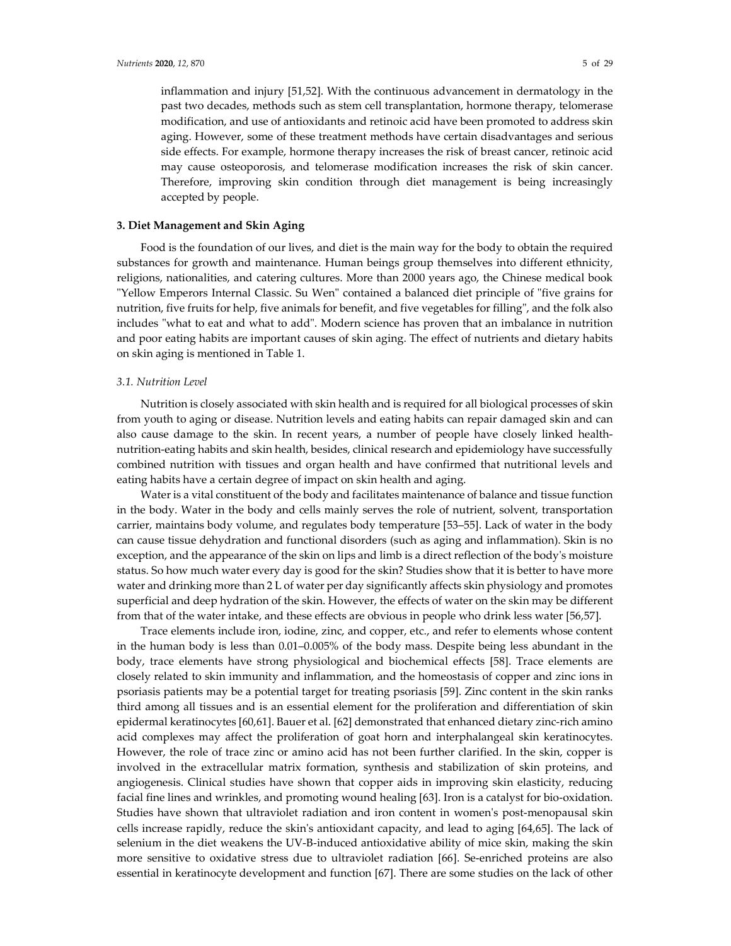inflammation and injury [51,52]. With the continuous advancement in dermatology in the past two decades, methods such as stem cell transplantation, hormone therapy, telomerase modification, and use of antioxidants and retinoic acid have been promoted to address skin aging. However, some of these treatment methods have certain disadvantages and serious side effects. For example, hormone therapy increases the risk of breast cancer, retinoic acid may cause osteoporosis, and telomerase modification increases the risk of skin cancer. Therefore, improving skin condition through diet management is being increasingly accepted by people.

#### **3. Diet Management and Skin Aging**

Food is the foundation of our lives, and diet is the main way for the body to obtain the required substances for growth and maintenance. Human beings group themselves into different ethnicity, religions, nationalities, and catering cultures. More than 2000 years ago, the Chinese medical book "Yellow Emperors Internal Classic. Su Wen" contained a balanced diet principle of "five grains for nutrition, five fruits for help, five animals for benefit, and five vegetables for filling", and the folk also includes "what to eat and what to add". Modern science has proven that an imbalance in nutrition and poor eating habits are important causes of skin aging. The effect of nutrients and dietary habits on skin aging is mentioned in Table 1.

## *3.1. Nutrition Level*

Nutrition is closely associated with skin health and is required for all biological processes of skin from youth to aging or disease. Nutrition levels and eating habits can repair damaged skin and can also cause damage to the skin. In recent years, a number of people have closely linked healthnutrition-eating habits and skin health, besides, clinical research and epidemiology have successfully combined nutrition with tissues and organ health and have confirmed that nutritional levels and eating habits have a certain degree of impact on skin health and aging.

Water is a vital constituent of the body and facilitates maintenance of balance and tissue function in the body. Water in the body and cells mainly serves the role of nutrient, solvent, transportation carrier, maintains body volume, and regulates body temperature [53–55]. Lack of water in the body can cause tissue dehydration and functional disorders (such as aging and inflammation). Skin is no exception, and the appearance of the skin on lips and limb is a direct reflection of the body's moisture status. So how much water every day is good for the skin? Studies show that it is better to have more water and drinking more than 2 L of water per day significantly affects skin physiology and promotes superficial and deep hydration of the skin. However, the effects of water on the skin may be different from that of the water intake, and these effects are obvious in people who drink less water [56,57].

Trace elements include iron, iodine, zinc, and copper, etc., and refer to elements whose content in the human body is less than 0.01–0.005% of the body mass. Despite being less abundant in the body, trace elements have strong physiological and biochemical effects [58]. Trace elements are closely related to skin immunity and inflammation, and the homeostasis of copper and zinc ions in psoriasis patients may be a potential target for treating psoriasis [59]. Zinc content in the skin ranks third among all tissues and is an essential element for the proliferation and differentiation of skin epidermal keratinocytes [60,61]. Bauer et al. [62] demonstrated that enhanced dietary zinc-rich amino acid complexes may affect the proliferation of goat horn and interphalangeal skin keratinocytes. However, the role of trace zinc or amino acid has not been further clarified. In the skin, copper is involved in the extracellular matrix formation, synthesis and stabilization of skin proteins, and angiogenesis. Clinical studies have shown that copper aids in improving skin elasticity, reducing facial fine lines and wrinkles, and promoting wound healing [63]. Iron is a catalyst for bio-oxidation. Studies have shown that ultraviolet radiation and iron content in women's post-menopausal skin cells increase rapidly, reduce the skin's antioxidant capacity, and lead to aging [64,65]. The lack of selenium in the diet weakens the UV-B-induced antioxidative ability of mice skin, making the skin more sensitive to oxidative stress due to ultraviolet radiation [66]. Se-enriched proteins are also essential in keratinocyte development and function [67]. There are some studies on the lack of other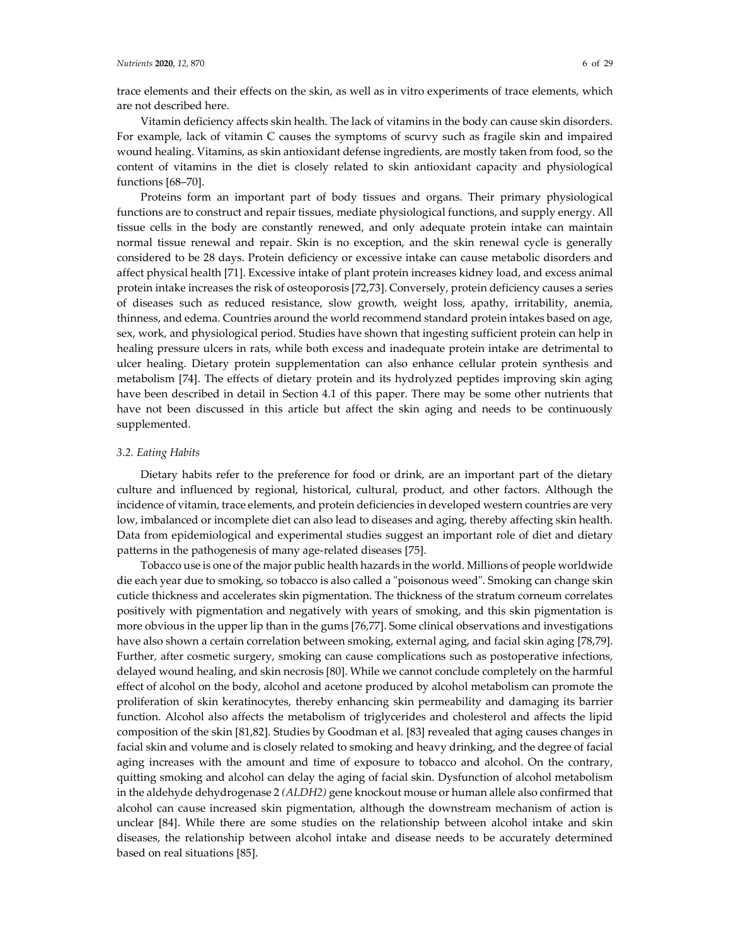trace elements and their effects on the skin, as well as in vitro experiments of trace elements, which are not described here.

Vitamin deficiency affects skin health. The lack of vitamins in the body can cause skin disorders. For example, lack of vitamin C causes the symptoms of scurvy such as fragile skin and impaired wound healing. Vitamins, as skin antioxidant defense ingredients, are mostly taken from food, so the content of vitamins in the diet is closely related to skin antioxidant capacity and physiological functions [68–70].

Proteins form an important part of body tissues and organs. Their primary physiological functions are to construct and repair tissues, mediate physiological functions, and supply energy. All tissue cells in the body are constantly renewed, and only adequate protein intake can maintain normal tissue renewal and repair. Skin is no exception, and the skin renewal cycle is generally considered to be 28 days. Protein deficiency or excessive intake can cause metabolic disorders and affect physical health [71]. Excessive intake of plant protein increases kidney load, and excess animal protein intake increases the risk of osteoporosis [72,73]. Conversely, protein deficiency causes a series of diseases such as reduced resistance, slow growth, weight loss, apathy, irritability, anemia, thinness, and edema. Countries around the world recommend standard protein intakes based on age, sex, work, and physiological period. Studies have shown that ingesting sufficient protein can help in healing pressure ulcers in rats, while both excess and inadequate protein intake are detrimental to ulcer healing. Dietary protein supplementation can also enhance cellular protein synthesis and metabolism [74]. The effects of dietary protein and its hydrolyzed peptides improving skin aging have been described in detail in Section 4.1 of this paper. There may be some other nutrients that have not been discussed in this article but affect the skin aging and needs to be continuously supplemented.

### *3.2. Eating Habits*

Dietary habits refer to the preference for food or drink, are an important part of the dietary culture and influenced by regional, historical, cultural, product, and other factors. Although the incidence of vitamin, trace elements, and protein deficiencies in developed western countries are very low, imbalanced or incomplete diet can also lead to diseases and aging, thereby affecting skin health. Data from epidemiological and experimental studies suggest an important role of diet and dietary patterns in the pathogenesis of many age-related diseases [75].

Tobacco use is one of the major public health hazards in the world. Millions of people worldwide die each year due to smoking, so tobacco is also called a "poisonous weed". Smoking can change skin cuticle thickness and accelerates skin pigmentation. The thickness of the stratum corneum correlates positively with pigmentation and negatively with years of smoking, and this skin pigmentation is more obvious in the upper lip than in the gums [76,77]. Some clinical observations and investigations have also shown a certain correlation between smoking, external aging, and facial skin aging [78,79]. Further, after cosmetic surgery, smoking can cause complications such as postoperative infections, delayed wound healing, and skin necrosis [80]. While we cannot conclude completely on the harmful effect of alcohol on the body, alcohol and acetone produced by alcohol metabolism can promote the proliferation of skin keratinocytes, thereby enhancing skin permeability and damaging its barrier function. Alcohol also affects the metabolism of triglycerides and cholesterol and affects the lipid composition of the skin [81,82]. Studies by Goodman et al. [83] revealed that aging causes changes in facial skin and volume and is closely related to smoking and heavy drinking, and the degree of facial aging increases with the amount and time of exposure to tobacco and alcohol. On the contrary, quitting smoking and alcohol can delay the aging of facial skin. Dysfunction of alcohol metabolism in the aldehyde dehydrogenase 2 *(ALDH2)* gene knockout mouse or human allele also confirmed that alcohol can cause increased skin pigmentation, although the downstream mechanism of action is unclear [84]. While there are some studies on the relationship between alcohol intake and skin diseases, the relationship between alcohol intake and disease needs to be accurately determined based on real situations [85].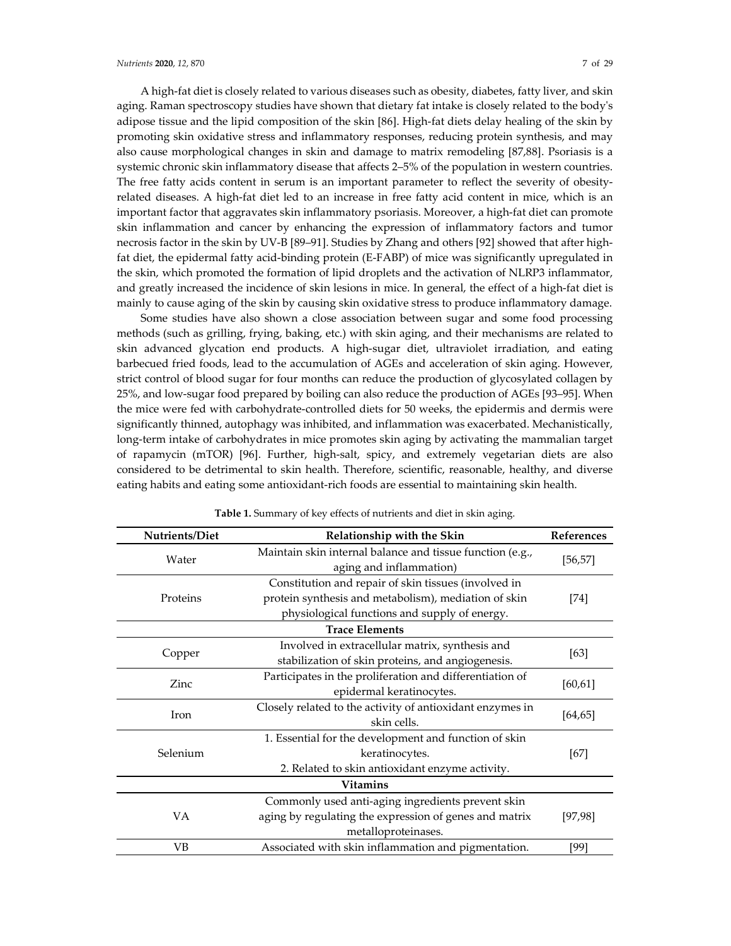A high-fat diet is closely related to various diseases such as obesity, diabetes, fatty liver, and skin aging. Raman spectroscopy studies have shown that dietary fat intake is closely related to the body's adipose tissue and the lipid composition of the skin [86]. High-fat diets delay healing of the skin by promoting skin oxidative stress and inflammatory responses, reducing protein synthesis, and may also cause morphological changes in skin and damage to matrix remodeling [87,88]. Psoriasis is a systemic chronic skin inflammatory disease that affects 2–5% of the population in western countries. The free fatty acids content in serum is an important parameter to reflect the severity of obesityrelated diseases. A high-fat diet led to an increase in free fatty acid content in mice, which is an important factor that aggravates skin inflammatory psoriasis. Moreover, a high-fat diet can promote skin inflammation and cancer by enhancing the expression of inflammatory factors and tumor necrosis factor in the skin by UV-B [89–91]. Studies by Zhang and others [92] showed that after highfat diet, the epidermal fatty acid-binding protein (E-FABP) of mice was significantly upregulated in the skin, which promoted the formation of lipid droplets and the activation of NLRP3 inflammator, and greatly increased the incidence of skin lesions in mice. In general, the effect of a high-fat diet is mainly to cause aging of the skin by causing skin oxidative stress to produce inflammatory damage.

Some studies have also shown a close association between sugar and some food processing methods (such as grilling, frying, baking, etc.) with skin aging, and their mechanisms are related to skin advanced glycation end products. A high-sugar diet, ultraviolet irradiation, and eating barbecued fried foods, lead to the accumulation of AGEs and acceleration of skin aging. However, strict control of blood sugar for four months can reduce the production of glycosylated collagen by 25%, and low-sugar food prepared by boiling can also reduce the production of AGEs [93–95]. When the mice were fed with carbohydrate-controlled diets for 50 weeks, the epidermis and dermis were significantly thinned, autophagy was inhibited, and inflammation was exacerbated. Mechanistically, long-term intake of carbohydrates in mice promotes skin aging by activating the mammalian target of rapamycin (mTOR) [96]. Further, high-salt, spicy, and extremely vegetarian diets are also considered to be detrimental to skin health. Therefore, scientific, reasonable, healthy, and diverse eating habits and eating some antioxidant-rich foods are essential to maintaining skin health.

| Relationship with the Skin                                                                                                                                    | References |
|---------------------------------------------------------------------------------------------------------------------------------------------------------------|------------|
| Maintain skin internal balance and tissue function (e.g.,<br>aging and inflammation)                                                                          | [56, 57]   |
| Constitution and repair of skin tissues (involved in<br>protein synthesis and metabolism), mediation of skin<br>physiological functions and supply of energy. | [74]       |
| <b>Trace Elements</b>                                                                                                                                         |            |
| Involved in extracellular matrix, synthesis and<br>stabilization of skin proteins, and angiogenesis.                                                          | [63]       |
| Participates in the proliferation and differentiation of<br>epidermal keratinocytes.                                                                          | [60, 61]   |
| Closely related to the activity of antioxidant enzymes in<br>skin cells.                                                                                      | [64, 65]   |
| 1. Essential for the development and function of skin<br>keratinocytes.<br>2. Related to skin antioxidant enzyme activity.                                    | [67]       |
| <b>Vitamins</b>                                                                                                                                               |            |
| Commonly used anti-aging ingredients prevent skin<br>aging by regulating the expression of genes and matrix<br>metalloproteinases.                            | [97, 98]   |
| Associated with skin inflammation and pigmentation.                                                                                                           | [99]       |
|                                                                                                                                                               |            |

| Table 1. Summary of key effects of nutrients and diet in skin aging. |  |  |  |
|----------------------------------------------------------------------|--|--|--|
|----------------------------------------------------------------------|--|--|--|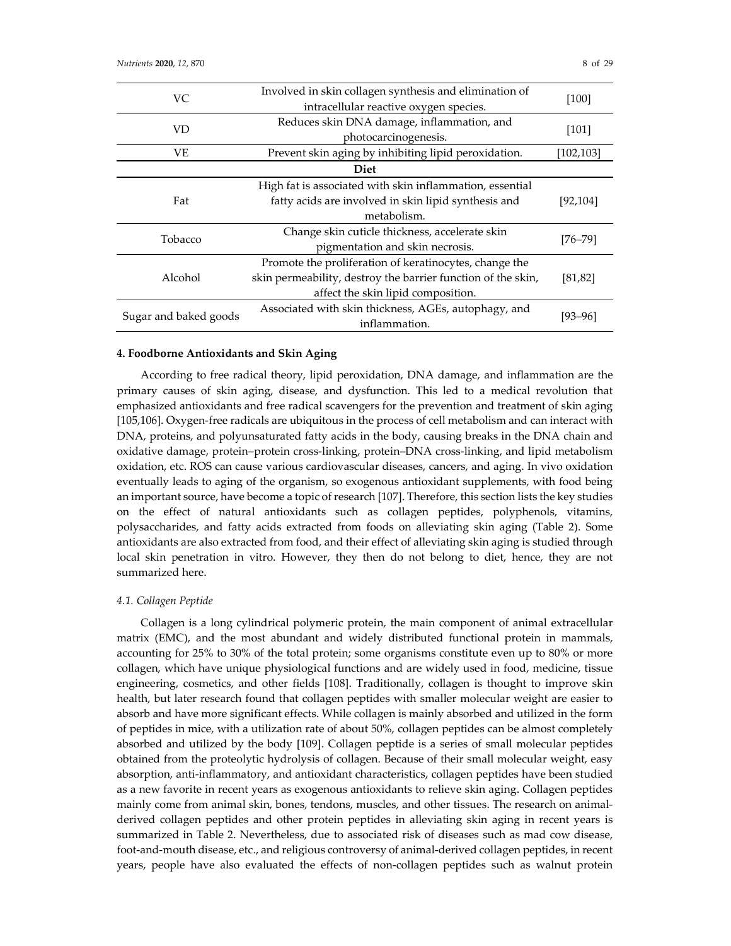| VC                    | Involved in skin collagen synthesis and elimination of<br>intracellular reactive oxygen species. | [100]      |  |
|-----------------------|--------------------------------------------------------------------------------------------------|------------|--|
| <b>VD</b>             | Reduces skin DNA damage, inflammation, and                                                       | [101]      |  |
|                       | photocarcinogenesis.                                                                             |            |  |
| VE                    | Prevent skin aging by inhibiting lipid peroxidation.                                             | [102, 103] |  |
|                       | <b>Diet</b>                                                                                      |            |  |
|                       | High fat is associated with skin inflammation, essential                                         |            |  |
| Fat                   | fatty acids are involved in skin lipid synthesis and                                             | [92, 104]  |  |
|                       | metabolism.                                                                                      |            |  |
| Tobacco               | Change skin cuticle thickness, accelerate skin                                                   |            |  |
|                       | pigmentation and skin necrosis.                                                                  | [76–79]    |  |
|                       | Promote the proliferation of keratinocytes, change the                                           |            |  |
| Alcohol               | skin permeability, destroy the barrier function of the skin,                                     | [81,82]    |  |
|                       | affect the skin lipid composition.                                                               |            |  |
|                       | Associated with skin thickness, AGEs, autophagy, and                                             |            |  |
| Sugar and baked goods | inflammation.                                                                                    | [93–96]    |  |

## **4. Foodborne Antioxidants and Skin Aging**

According to free radical theory, lipid peroxidation, DNA damage, and inflammation are the primary causes of skin aging, disease, and dysfunction. This led to a medical revolution that emphasized antioxidants and free radical scavengers for the prevention and treatment of skin aging [105,106]. Oxygen-free radicals are ubiquitous in the process of cell metabolism and can interact with DNA, proteins, and polyunsaturated fatty acids in the body, causing breaks in the DNA chain and oxidative damage, protein–protein cross-linking, protein–DNA cross-linking, and lipid metabolism oxidation, etc. ROS can cause various cardiovascular diseases, cancers, and aging. In vivo oxidation eventually leads to aging of the organism, so exogenous antioxidant supplements, with food being an important source, have become a topic of research [107]. Therefore, this section lists the key studies on the effect of natural antioxidants such as collagen peptides, polyphenols, vitamins, polysaccharides, and fatty acids extracted from foods on alleviating skin aging (Table 2). Some antioxidants are also extracted from food, and their effect of alleviating skin aging is studied through local skin penetration in vitro. However, they then do not belong to diet, hence, they are not summarized here.

#### *4.1. Collagen Peptide*

Collagen is a long cylindrical polymeric protein, the main component of animal extracellular matrix (EMC), and the most abundant and widely distributed functional protein in mammals, accounting for 25% to 30% of the total protein; some organisms constitute even up to 80% or more collagen, which have unique physiological functions and are widely used in food, medicine, tissue engineering, cosmetics, and other fields [108]. Traditionally, collagen is thought to improve skin health, but later research found that collagen peptides with smaller molecular weight are easier to absorb and have more significant effects. While collagen is mainly absorbed and utilized in the form of peptides in mice, with a utilization rate of about 50%, collagen peptides can be almost completely absorbed and utilized by the body [109]. Collagen peptide is a series of small molecular peptides obtained from the proteolytic hydrolysis of collagen. Because of their small molecular weight, easy absorption, anti-inflammatory, and antioxidant characteristics, collagen peptides have been studied as a new favorite in recent years as exogenous antioxidants to relieve skin aging. Collagen peptides mainly come from animal skin, bones, tendons, muscles, and other tissues. The research on animalderived collagen peptides and other protein peptides in alleviating skin aging in recent years is summarized in Table 2. Nevertheless, due to associated risk of diseases such as mad cow disease, foot-and-mouth disease, etc., and religious controversy of animal-derived collagen peptides, in recent years, people have also evaluated the effects of non-collagen peptides such as walnut protein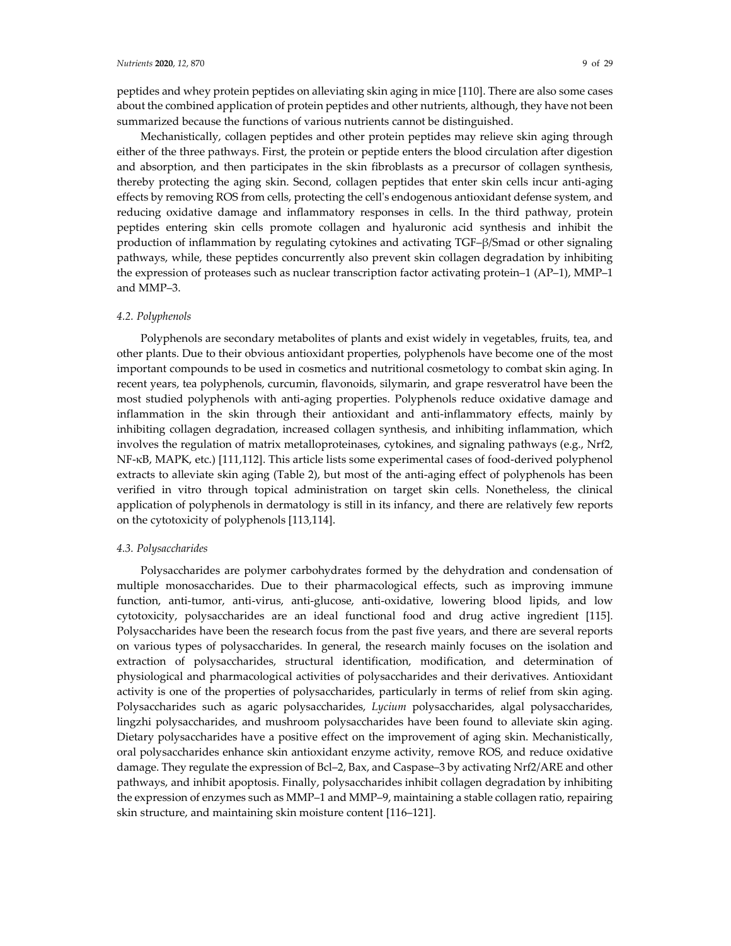peptides and whey protein peptides on alleviating skin aging in mice [110]. There are also some cases about the combined application of protein peptides and other nutrients, although, they have not been summarized because the functions of various nutrients cannot be distinguished.

Mechanistically, collagen peptides and other protein peptides may relieve skin aging through either of the three pathways. First, the protein or peptide enters the blood circulation after digestion and absorption, and then participates in the skin fibroblasts as a precursor of collagen synthesis, thereby protecting the aging skin. Second, collagen peptides that enter skin cells incur anti-aging effects by removing ROS from cells, protecting the cell's endogenous antioxidant defense system, and reducing oxidative damage and inflammatory responses in cells. In the third pathway, protein peptides entering skin cells promote collagen and hyaluronic acid synthesis and inhibit the production of inflammation by regulating cytokines and activating TGF–β/Smad or other signaling pathways, while, these peptides concurrently also prevent skin collagen degradation by inhibiting the expression of proteases such as nuclear transcription factor activating protein–1 (AP–1), MMP–1 and MMP–3.

### *4.2. Polyphenols*

Polyphenols are secondary metabolites of plants and exist widely in vegetables, fruits, tea, and other plants. Due to their obvious antioxidant properties, polyphenols have become one of the most important compounds to be used in cosmetics and nutritional cosmetology to combat skin aging. In recent years, tea polyphenols, curcumin, flavonoids, silymarin, and grape resveratrol have been the most studied polyphenols with anti-aging properties. Polyphenols reduce oxidative damage and inflammation in the skin through their antioxidant and anti-inflammatory effects, mainly by inhibiting collagen degradation, increased collagen synthesis, and inhibiting inflammation, which involves the regulation of matrix metalloproteinases, cytokines, and signaling pathways (e.g., Nrf2, NF-κB, MAPK, etc.) [111,112]. This article lists some experimental cases of food-derived polyphenol extracts to alleviate skin aging (Table 2), but most of the anti-aging effect of polyphenols has been verified in vitro through topical administration on target skin cells. Nonetheless, the clinical application of polyphenols in dermatology is still in its infancy, and there are relatively few reports on the cytotoxicity of polyphenols [113,114].

#### *4.3. Polysaccharides*

Polysaccharides are polymer carbohydrates formed by the dehydration and condensation of multiple monosaccharides. Due to their pharmacological effects, such as improving immune function, anti-tumor, anti-virus, anti-glucose, anti-oxidative, lowering blood lipids, and low cytotoxicity, polysaccharides are an ideal functional food and drug active ingredient [115]. Polysaccharides have been the research focus from the past five years, and there are several reports on various types of polysaccharides. In general, the research mainly focuses on the isolation and extraction of polysaccharides, structural identification, modification, and determination of physiological and pharmacological activities of polysaccharides and their derivatives. Antioxidant activity is one of the properties of polysaccharides, particularly in terms of relief from skin aging. Polysaccharides such as agaric polysaccharides, *Lycium* polysaccharides, algal polysaccharides, lingzhi polysaccharides, and mushroom polysaccharides have been found to alleviate skin aging. Dietary polysaccharides have a positive effect on the improvement of aging skin. Mechanistically, oral polysaccharides enhance skin antioxidant enzyme activity, remove ROS, and reduce oxidative damage. They regulate the expression of Bcl–2, Bax, and Caspase–3 by activating Nrf2/ARE and other pathways, and inhibit apoptosis. Finally, polysaccharides inhibit collagen degradation by inhibiting the expression of enzymes such as MMP–1 and MMP–9, maintaining a stable collagen ratio, repairing skin structure, and maintaining skin moisture content [116–121].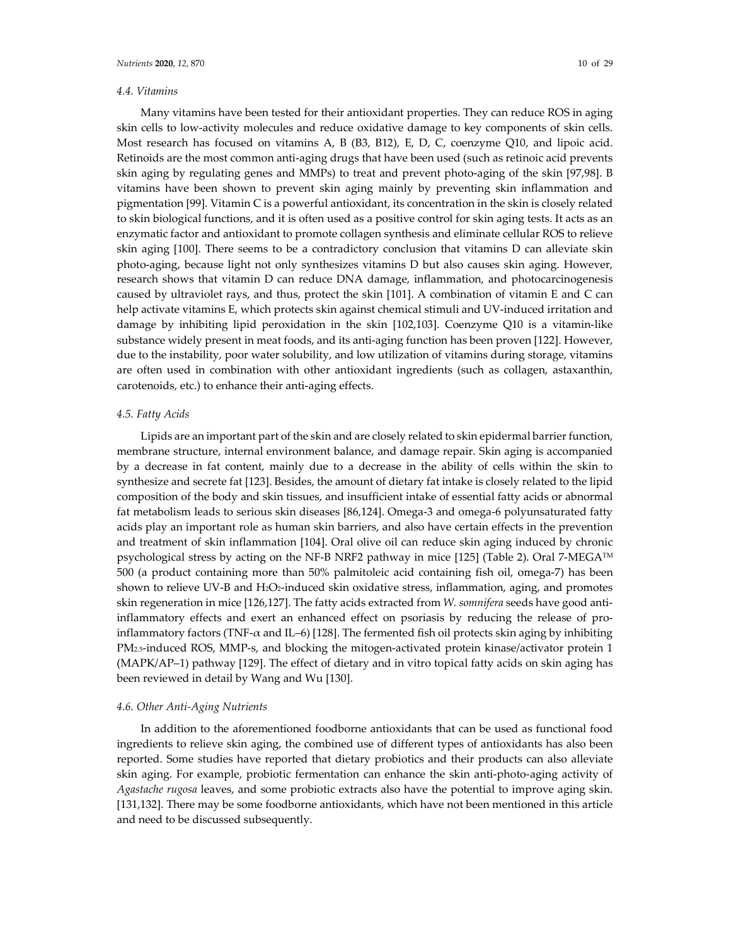## *4.4. Vitamins*

Many vitamins have been tested for their antioxidant properties. They can reduce ROS in aging skin cells to low-activity molecules and reduce oxidative damage to key components of skin cells. Most research has focused on vitamins A, B (B3, B12), E, D, C, coenzyme Q10, and lipoic acid. Retinoids are the most common anti-aging drugs that have been used (such as retinoic acid prevents skin aging by regulating genes and MMPs) to treat and prevent photo-aging of the skin [97,98]. B vitamins have been shown to prevent skin aging mainly by preventing skin inflammation and pigmentation [99]. Vitamin C is a powerful antioxidant, its concentration in the skin is closely related to skin biological functions, and it is often used as a positive control for skin aging tests. It acts as an enzymatic factor and antioxidant to promote collagen synthesis and eliminate cellular ROS to relieve skin aging [100]. There seems to be a contradictory conclusion that vitamins D can alleviate skin photo-aging, because light not only synthesizes vitamins D but also causes skin aging. However, research shows that vitamin D can reduce DNA damage, inflammation, and photocarcinogenesis caused by ultraviolet rays, and thus, protect the skin [101]. A combination of vitamin E and C can help activate vitamins E, which protects skin against chemical stimuli and UV-induced irritation and damage by inhibiting lipid peroxidation in the skin [102,103]. Coenzyme Q10 is a vitamin-like substance widely present in meat foods, and its anti-aging function has been proven [122]. However, due to the instability, poor water solubility, and low utilization of vitamins during storage, vitamins are often used in combination with other antioxidant ingredients (such as collagen, astaxanthin, carotenoids, etc.) to enhance their anti-aging effects.

## *4.5. Fatty Acids*

Lipids are an important part of the skin and are closely related to skin epidermal barrier function, membrane structure, internal environment balance, and damage repair. Skin aging is accompanied by a decrease in fat content, mainly due to a decrease in the ability of cells within the skin to synthesize and secrete fat [123]. Besides, the amount of dietary fat intake is closely related to the lipid composition of the body and skin tissues, and insufficient intake of essential fatty acids or abnormal fat metabolism leads to serious skin diseases [86,124]. Omega-3 and omega-6 polyunsaturated fatty acids play an important role as human skin barriers, and also have certain effects in the prevention and treatment of skin inflammation [104]. Oral olive oil can reduce skin aging induced by chronic psychological stress by acting on the NF-B NRF2 pathway in mice [125] (Table 2). Oral 7-MEGA™ 500 (a product containing more than 50% palmitoleic acid containing fish oil, omega-7) has been shown to relieve UV-B and H<sub>2</sub>O<sub>2</sub>-induced skin oxidative stress, inflammation, aging, and promotes skin regeneration in mice [126,127]. The fatty acids extracted from *W. somnifera* seeds have good antiinflammatory effects and exert an enhanced effect on psoriasis by reducing the release of proinflammatory factors (TNF-α and IL–6) [128]. The fermented fish oil protects skin aging by inhibiting PM2.5-induced ROS, MMP-s, and blocking the mitogen-activated protein kinase/activator protein 1 (MAPK/AP–1) pathway [129]. The effect of dietary and in vitro topical fatty acids on skin aging has been reviewed in detail by Wang and Wu [130].

#### *4.6. Other Anti-Aging Nutrients*

In addition to the aforementioned foodborne antioxidants that can be used as functional food ingredients to relieve skin aging, the combined use of different types of antioxidants has also been reported. Some studies have reported that dietary probiotics and their products can also alleviate skin aging. For example, probiotic fermentation can enhance the skin anti-photo-aging activity of *Agastache rugosa* leaves, and some probiotic extracts also have the potential to improve aging skin. [131,132]. There may be some foodborne antioxidants, which have not been mentioned in this article and need to be discussed subsequently.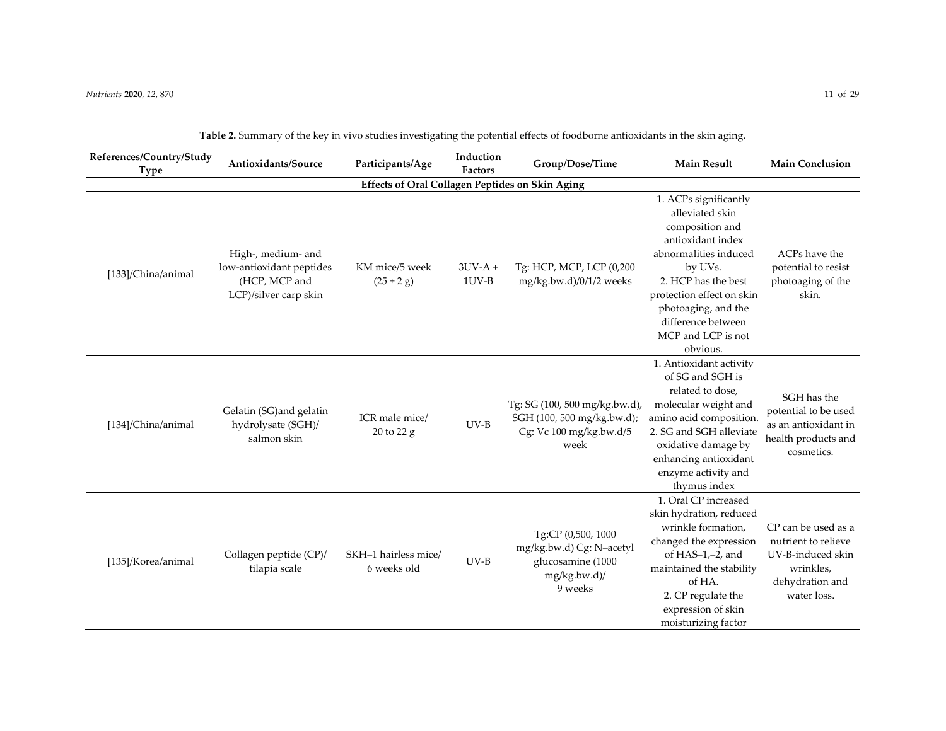| References/Country/Study<br>Type                       | Antioxidants/Source                                                                      | Participants/Age                         | Induction<br><b>Factors</b> | Group/Dose/Time                                                                                | <b>Main Result</b>                                                                                                                                                                                                                                      | <b>Main Conclusion</b>                                                                                         |  |  |  |
|--------------------------------------------------------|------------------------------------------------------------------------------------------|------------------------------------------|-----------------------------|------------------------------------------------------------------------------------------------|---------------------------------------------------------------------------------------------------------------------------------------------------------------------------------------------------------------------------------------------------------|----------------------------------------------------------------------------------------------------------------|--|--|--|
| <b>Effects of Oral Collagen Peptides on Skin Aging</b> |                                                                                          |                                          |                             |                                                                                                |                                                                                                                                                                                                                                                         |                                                                                                                |  |  |  |
| [133]/China/animal                                     | High-, medium- and<br>low-antioxidant peptides<br>(HCP, MCP and<br>LCP)/silver carp skin | KM mice/5 week<br>$(25 \pm 2 \text{ g})$ | $3UV-A +$<br>$1UV-B$        | Tg: HCP, MCP, LCP (0,200<br>mg/kg.bw.d)/0/1/2 weeks                                            | 1. ACPs significantly<br>alleviated skin<br>composition and<br>antioxidant index<br>abnormalities induced<br>by UVs.<br>2. HCP has the best<br>protection effect on skin<br>photoaging, and the<br>difference between<br>MCP and LCP is not<br>obvious. | ACPs have the<br>potential to resist<br>photoaging of the<br>skin.                                             |  |  |  |
| [134]/China/animal                                     | Gelatin (SG)and gelatin<br>hydrolysate (SGH)/<br>salmon skin                             | ICR male mice/<br>20 to 22 g             | $UV-B$                      | Tg: SG (100, 500 mg/kg.bw.d),<br>SGH (100, 500 mg/kg.bw.d);<br>Cg: Vc 100 mg/kg.bw.d/5<br>week | 1. Antioxidant activity<br>of SG and SGH is<br>related to dose,<br>molecular weight and<br>amino acid composition.<br>2. SG and SGH alleviate<br>oxidative damage by<br>enhancing antioxidant<br>enzyme activity and<br>thymus index                    | SGH has the<br>potential to be used<br>as an antioxidant in<br>health products and<br>cosmetics.               |  |  |  |
| [135]/Korea/animal                                     | Collagen peptide (CP)/<br>tilapia scale                                                  | SKH-1 hairless mice/<br>6 weeks old      | $UV-B$                      | Tg:CP (0,500, 1000<br>mg/kg.bw.d) Cg: N-acetyl<br>glucosamine (1000<br>mg/kg.bw.d)/<br>9 weeks | 1. Oral CP increased<br>skin hydration, reduced<br>wrinkle formation,<br>changed the expression<br>of $HAS-1,-2$ , and<br>maintained the stability<br>of HA.<br>2. CP regulate the<br>expression of skin<br>moisturizing factor                         | CP can be used as a<br>nutrient to relieve<br>UV-B-induced skin<br>wrinkles,<br>dehydration and<br>water loss. |  |  |  |

| Table 2. Summary of the key in vivo studies investigating the potential effects of foodborne antioxidants in the skin aging. |  |
|------------------------------------------------------------------------------------------------------------------------------|--|
|                                                                                                                              |  |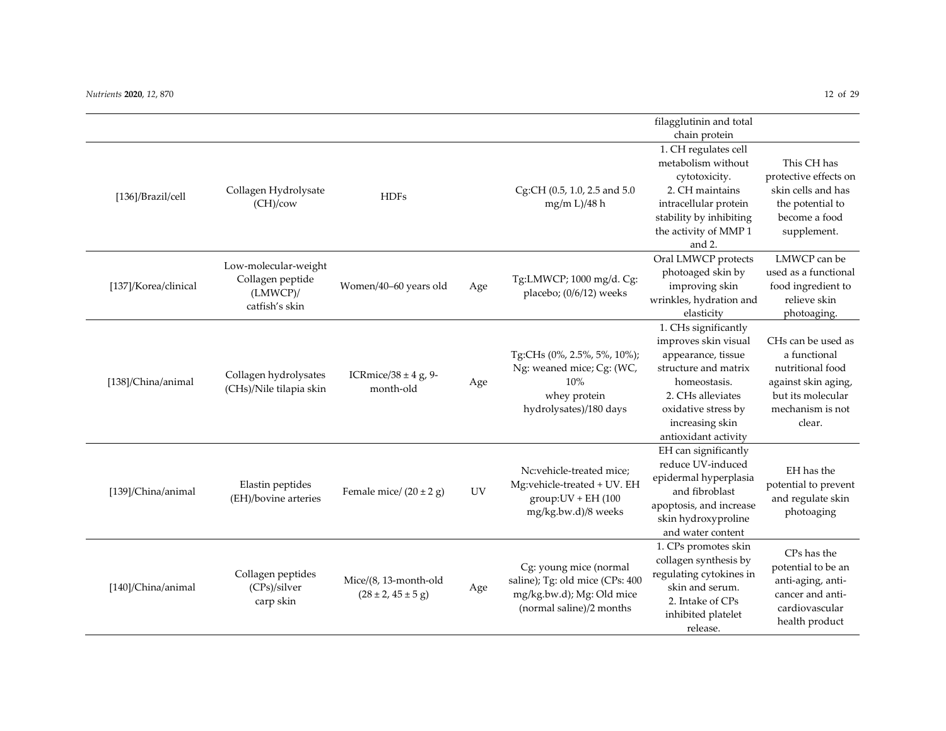|                      |                                                                           |                                                           |           |                                                                                                                    | filagglutinin and total                                                                                                                                                                           |                                                                                                                                  |
|----------------------|---------------------------------------------------------------------------|-----------------------------------------------------------|-----------|--------------------------------------------------------------------------------------------------------------------|---------------------------------------------------------------------------------------------------------------------------------------------------------------------------------------------------|----------------------------------------------------------------------------------------------------------------------------------|
|                      |                                                                           |                                                           |           |                                                                                                                    | chain protein                                                                                                                                                                                     |                                                                                                                                  |
| [136]/Brazil/cell    | Collagen Hydrolysate<br>(CH)/cov                                          | <b>HDFs</b>                                               |           | Cg:CH (0.5, 1.0, 2.5 and 5.0<br>mg/m L)/48 h                                                                       | 1. CH regulates cell<br>metabolism without<br>cytotoxicity.<br>2. CH maintains<br>intracellular protein<br>stability by inhibiting<br>the activity of MMP 1<br>and 2.                             | This CH has<br>protective effects on<br>skin cells and has<br>the potential to<br>become a food<br>supplement.                   |
| [137]/Korea/clinical | Low-molecular-weight<br>Collagen peptide<br>$(LMWCP)$ /<br>catfish's skin | Women/40-60 years old                                     | Age       | Tg:LMWCP; 1000 mg/d. Cg:<br>placebo; (0/6/12) weeks                                                                | Oral LMWCP protects<br>photoaged skin by<br>improving skin<br>wrinkles, hydration and<br>elasticity                                                                                               | LMWCP can be<br>used as a functional<br>food ingredient to<br>relieve skin<br>photoaging.                                        |
| [138]/China/animal   | Collagen hydrolysates<br>(CHs)/Nile tilapia skin                          | ICRmice/38 $\pm$ 4 g, 9-<br>month-old                     | Age       | Tg:CHs (0%, 2.5%, 5%, 10%);<br>Ng: weaned mice; Cg: (WC,<br>10%<br>whey protein<br>hydrolysates)/180 days          | 1. CHs significantly<br>improves skin visual<br>appearance, tissue<br>structure and matrix<br>homeostasis.<br>2. CHs alleviates<br>oxidative stress by<br>increasing skin<br>antioxidant activity | CHs can be used as<br>a functional<br>nutritional food<br>against skin aging,<br>but its molecular<br>mechanism is not<br>clear. |
| [139]/China/animal   | Elastin peptides<br>(EH)/bovine arteries                                  | Female mice/ $(20 \pm 2$ g)                               | <b>UV</b> | Nc:vehicle-treated mice;<br>Mg:vehicle-treated + UV. EH<br>$group:UV + EH(100$<br>mg/kg.bw.d)/8 weeks              | EH can significantly<br>reduce UV-induced<br>epidermal hyperplasia<br>and fibroblast<br>apoptosis, and increase<br>skin hydroxyproline<br>and water content                                       | EH has the<br>potential to prevent<br>and regulate skin<br>photoaging                                                            |
| [140]/China/animal   | Collagen peptides<br>(CPs)/silver<br>carp skin                            | Mice/(8, 13-month-old<br>$(28 \pm 2, 45 \pm 5 \text{ g})$ | Age       | Cg: young mice (normal<br>saline); Tg: old mice (CPs: 400<br>mg/kg.bw.d); Mg: Old mice<br>(normal saline)/2 months | 1. CPs promotes skin<br>collagen synthesis by<br>regulating cytokines in<br>skin and serum.<br>2. Intake of CPs<br>inhibited platelet<br>release.                                                 | CPs has the<br>potential to be an<br>anti-aging, anti-<br>cancer and anti-<br>cardiovascular<br>health product                   |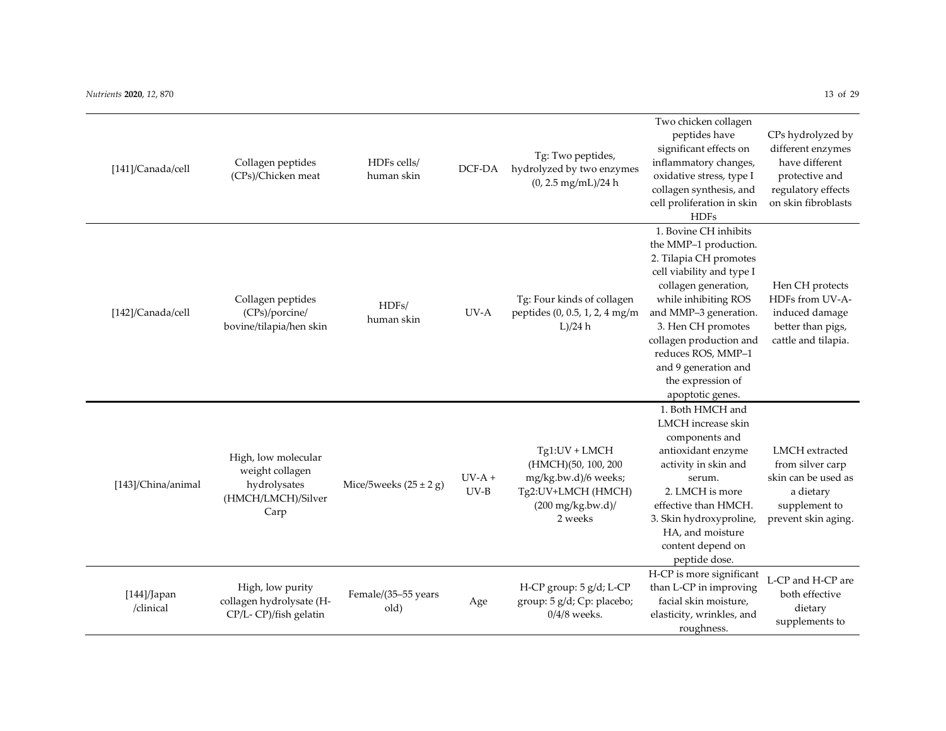| [141]/Canada/cell           | Collagen peptides<br>(CPs)/Chicken meat                                              | HDFs cells/<br>human skin   | DCF-DA             | Tg: Two peptides,<br>hydrolyzed by two enzymes<br>$(0, 2.5$ mg/mL)/24 h                                                      | Two chicken collagen<br>peptides have<br>significant effects on<br>inflammatory changes,<br>oxidative stress, type I<br>collagen synthesis, and<br>cell proliferation in skin<br><b>HDFs</b>                                                                                                                           | CPs hydrolyzed by<br>different enzymes<br>have different<br>protective and<br>regulatory effects<br>on skin fibroblasts |
|-----------------------------|--------------------------------------------------------------------------------------|-----------------------------|--------------------|------------------------------------------------------------------------------------------------------------------------------|------------------------------------------------------------------------------------------------------------------------------------------------------------------------------------------------------------------------------------------------------------------------------------------------------------------------|-------------------------------------------------------------------------------------------------------------------------|
| [142]/Canada/cell           | Collagen peptides<br>(CPs)/porcine/<br>bovine/tilapia/hen skin                       | HDFs/<br>human skin         | UV-A               | Tg: Four kinds of collagen<br>peptides (0, 0.5, 1, 2, 4 mg/m<br>L)/24 h                                                      | 1. Bovine CH inhibits<br>the MMP-1 production.<br>2. Tilapia CH promotes<br>cell viability and type I<br>collagen generation,<br>while inhibiting ROS<br>and MMP-3 generation.<br>3. Hen CH promotes<br>collagen production and<br>reduces ROS, MMP-1<br>and 9 generation and<br>the expression of<br>apoptotic genes. | Hen CH protects<br>HDFs from UV-A-<br>induced damage<br>better than pigs,<br>cattle and tilapia.                        |
| [143]/China/animal          | High, low molecular<br>weight collagen<br>hydrolysates<br>(HMCH/LMCH)/Silver<br>Carp | Mice/5weeks $(25 \pm 2$ g)  | $UV-A +$<br>$UV-B$ | Tg1:UV + LMCH<br>(HMCH)(50, 100, 200<br>mg/kg.bw.d)/6 weeks;<br>Tg2:UV+LMCH (HMCH)<br>$(200 \text{ mg/kg.bw.d})/$<br>2 weeks | 1. Both HMCH and<br>LMCH increase skin<br>components and<br>antioxidant enzyme<br>activity in skin and<br>serum.<br>2. LMCH is more<br>effective than HMCH.<br>3. Skin hydroxyproline,<br>HA, and moisture<br>content depend on<br>peptide dose.                                                                       | LMCH extracted<br>from silver carp<br>skin can be used as<br>a dietary<br>supplement to<br>prevent skin aging.          |
| $[144]/$ Japan<br>/clinical | High, low purity<br>collagen hydrolysate (H-<br>CP/L-CP)/fish gelatin                | Female/(35-55 years<br>old) | Age                | H-CP group: 5 g/d; L-CP<br>group: 5 g/d; Cp: placebo;<br>$0/4/8$ weeks.                                                      | H-CP is more significant<br>than L-CP in improving<br>facial skin moisture,<br>elasticity, wrinkles, and<br>roughnoss                                                                                                                                                                                                  | L-CP and H-CP are<br>both effective<br>dietary<br>supplements to                                                        |

roughness.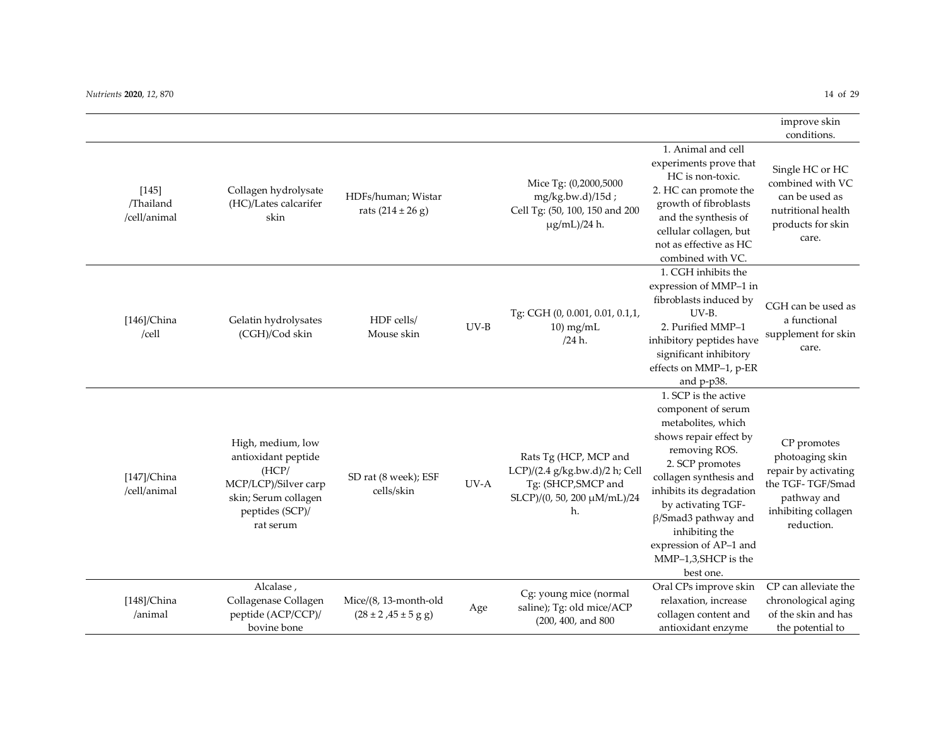|                                      |                                                                                                                                   |                                                             |        |                                                                                                                     |                                                                                                                                                                                                                                                                                                                          | improve skin<br>conditions.                                                                                                    |
|--------------------------------------|-----------------------------------------------------------------------------------------------------------------------------------|-------------------------------------------------------------|--------|---------------------------------------------------------------------------------------------------------------------|--------------------------------------------------------------------------------------------------------------------------------------------------------------------------------------------------------------------------------------------------------------------------------------------------------------------------|--------------------------------------------------------------------------------------------------------------------------------|
| $[145]$<br>/Thailand<br>/cell/animal | Collagen hydrolysate<br>(HC)/Lates calcarifer<br>skin                                                                             | HDFs/human; Wistar<br>rats $(214 \pm 26$ g)                 |        | Mice Tg: (0,2000,5000<br>mg/kg.bw.d)/15d;<br>Cell Tg: (50, 100, 150 and 200<br>µg/mL)/24 h.                         | 1. Animal and cell<br>experiments prove that<br>HC is non-toxic.<br>2. HC can promote the<br>growth of fibroblasts<br>and the synthesis of<br>cellular collagen, but<br>not as effective as HC<br>combined with VC.                                                                                                      | Single HC or HC<br>combined with VC<br>can be used as<br>nutritional health<br>products for skin<br>care.                      |
| $[146]$ /China<br>/cell              | Gelatin hydrolysates<br>(CGH)/Cod skin                                                                                            | HDF cells/<br>Mouse skin                                    | $UV-B$ | Tg: CGH (0, 0.001, 0.01, 0.1,1,<br>$10 \,\mathrm{mg/mL}$<br>/24 h.                                                  | 1. CGH inhibits the<br>expression of MMP-1 in<br>fibroblasts induced by<br>UV-B.<br>2. Purified MMP-1<br>inhibitory peptides have<br>significant inhibitory<br>effects on MMP-1, p-ER<br>and p-p38.                                                                                                                      | CGH can be used as<br>a functional<br>supplement for skin<br>care.                                                             |
| $[147]$ /China<br>/cell/animal       | High, medium, low<br>antioxidant peptide<br>(HCP)<br>MCP/LCP)/Silver carp<br>skin; Serum collagen<br>peptides (SCP)/<br>rat serum | SD rat (8 week); ESF<br>cells/skin                          | UV-A   | Rats Tg (HCP, MCP and<br>LCP)/(2.4 g/kg.bw.d)/2 h; Cell<br>Tg: (SHCP, SMCP and<br>SLCP)/(0, 50, 200 µM/mL)/24<br>h. | 1. SCP is the active<br>component of serum<br>metabolites, which<br>shows repair effect by<br>removing ROS.<br>2. SCP promotes<br>collagen synthesis and<br>inhibits its degradation<br>by activating TGF-<br>$\beta$ /Smad3 pathway and<br>inhibiting the<br>expression of AP-1 and<br>MMP-1,3,SHCP is the<br>best one. | CP promotes<br>photoaging skin<br>repair by activating<br>the TGF-TGF/Smad<br>pathway and<br>inhibiting collagen<br>reduction. |
| $[148]$ /China<br>/animal            | Alcalase,<br>Collagenase Collagen<br>peptide (ACP/CCP)/<br>bovine bone                                                            | Mice/(8, 13-month-old<br>$(28 \pm 2, 45 \pm 5 \text{ g g})$ | Age    | Cg: young mice (normal<br>saline); Tg: old mice/ACP<br>(200, 400, and 800                                           | Oral CPs improve skin<br>relaxation, increase<br>collagen content and<br>antioxidant enzyme                                                                                                                                                                                                                              | CP can alleviate the<br>chronological aging<br>of the skin and has<br>the potential to                                         |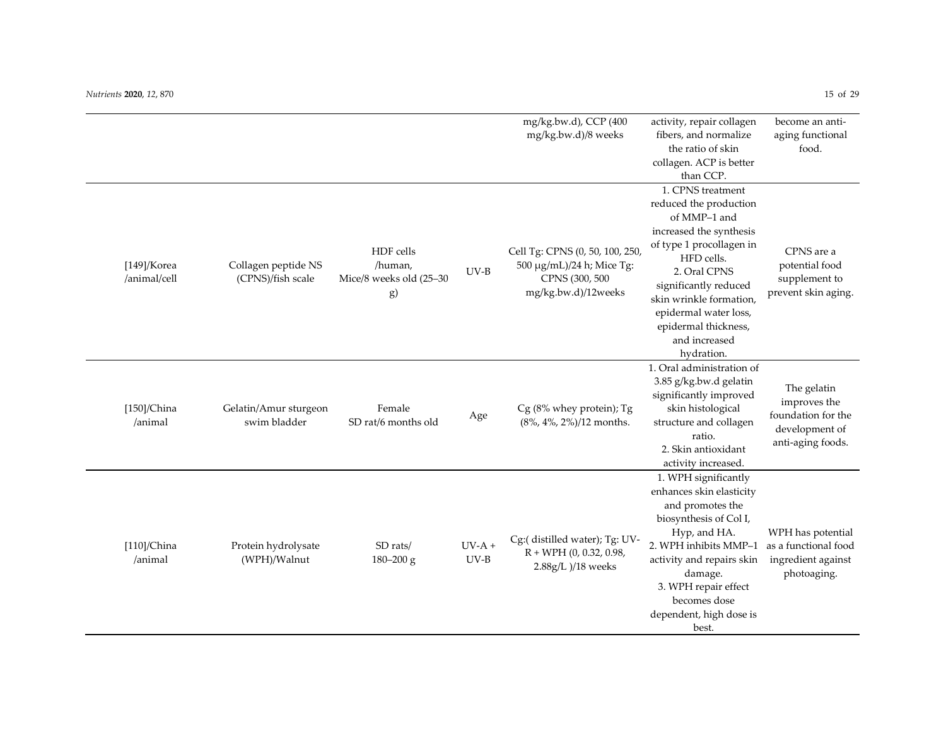[149]/Korea /animal/cell

[150]/China /animal

[110]/China /animal

Protein hydrolysate (WPH)/Walnut

SD rats/ 180–200 g  $UV-A +$ UV-B

|                                          |                                                       |        | mg/kg.bw.d), CCP (400<br>mg/kg.bw.d)/8 weeks                                                           | activity, repair collagen<br>fibers, and normalize                                                         | become an anti-<br>aging functional                                  |  |
|------------------------------------------|-------------------------------------------------------|--------|--------------------------------------------------------------------------------------------------------|------------------------------------------------------------------------------------------------------------|----------------------------------------------------------------------|--|
|                                          |                                                       |        |                                                                                                        | the ratio of skin                                                                                          | food.                                                                |  |
|                                          |                                                       |        |                                                                                                        | collagen. ACP is better                                                                                    |                                                                      |  |
|                                          |                                                       |        |                                                                                                        | than CCP.                                                                                                  |                                                                      |  |
|                                          |                                                       |        |                                                                                                        | 1. CPNS treatment                                                                                          |                                                                      |  |
|                                          |                                                       |        |                                                                                                        | reduced the production                                                                                     |                                                                      |  |
|                                          |                                                       |        |                                                                                                        | of MMP-1 and                                                                                               |                                                                      |  |
|                                          |                                                       |        |                                                                                                        | increased the synthesis                                                                                    |                                                                      |  |
| Collagen peptide NS<br>(CPNS)/fish scale | HDF cells<br>/human,<br>Mice/8 weeks old (25-30<br>g) | $UV-B$ | Cell Tg: CPNS (0, 50, 100, 250,<br>500 μg/mL)/24 h; Mice Tg:<br>CPNS (300, 500)<br>mg/kg.bw.d)/12weeks | of type 1 procollagen in<br>HFD cells.<br>2. Oral CPNS<br>significantly reduced<br>skin wrinkle formation, | CPNS are a<br>potential food<br>supplement to<br>prevent skin aging. |  |
|                                          |                                                       |        |                                                                                                        | epidermal water loss,                                                                                      |                                                                      |  |
|                                          |                                                       |        |                                                                                                        | epidermal thickness,                                                                                       |                                                                      |  |
|                                          |                                                       |        |                                                                                                        | and increased                                                                                              |                                                                      |  |
|                                          |                                                       |        |                                                                                                        | hydration.                                                                                                 |                                                                      |  |
|                                          |                                                       |        |                                                                                                        | 1. Oral administration of<br>3.85 g/kg.bw.d gelatin                                                        |                                                                      |  |
| Gelatin/Amur sturgeon<br>swim bladder    | Female<br>SD rat/6 months old                         | Age    | Cg (8% whey protein); Tg<br>(8%, 4%, 2%)/12 months.                                                    | significantly improved<br>skin histological<br>structure and collagen                                      | The gelatin<br>improves the<br>foundation for the<br>development of  |  |
|                                          |                                                       |        |                                                                                                        | ratio.                                                                                                     | anti-aging foods.                                                    |  |
|                                          |                                                       |        |                                                                                                        | 2. Skin antioxidant                                                                                        |                                                                      |  |
|                                          |                                                       |        |                                                                                                        | activity increased.                                                                                        |                                                                      |  |
|                                          |                                                       |        |                                                                                                        | 1. WPH significantly                                                                                       |                                                                      |  |
|                                          |                                                       |        |                                                                                                        | enhances skin elasticity                                                                                   |                                                                      |  |
|                                          |                                                       |        |                                                                                                        | and promotes the                                                                                           |                                                                      |  |
|                                          |                                                       |        |                                                                                                        | biosynthesis of Col I,                                                                                     |                                                                      |  |
|                                          |                                                       |        | $C$ $(1.0111 - 1)$ $\pi$ $\pi$                                                                         | Hyp, and HA.                                                                                               | WPH has potential                                                    |  |

Cg:( distilled water); Tg: UV- $R + WPH (0, 0.32, 0.98,$ 2.88g/L )/18 weeks

2. WPH inhibits MMP–1 activity and repairs skin damage. 3. WPH repair effect becomes dose dependent, high dose is best.

as a functional food ingredient against photoaging.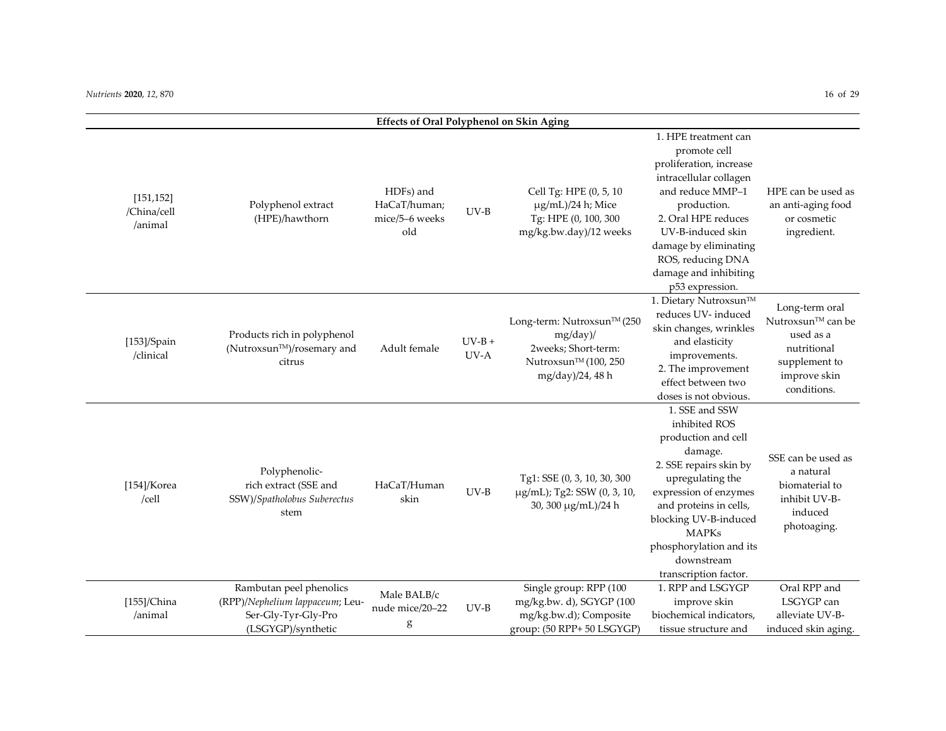|                                      |                                                                                                         | <b>Effects of Oral Polyphenol on Skin Aging</b>    |                  |                                                                                                           |                                                                                                                                                                                                                                                                               |                                                                                                                 |
|--------------------------------------|---------------------------------------------------------------------------------------------------------|----------------------------------------------------|------------------|-----------------------------------------------------------------------------------------------------------|-------------------------------------------------------------------------------------------------------------------------------------------------------------------------------------------------------------------------------------------------------------------------------|-----------------------------------------------------------------------------------------------------------------|
| [151, 152]<br>/China/cell<br>/animal | Polyphenol extract<br>(HPE)/hawthorn                                                                    | HDFs) and<br>HaCaT/human;<br>mice/5-6 weeks<br>old | $UV-B$           | Cell Tg: HPE (0, 5, 10<br>µg/mL)/24 h; Mice<br>Tg: HPE (0, 100, 300<br>mg/kg.bw.day)/12 weeks             | 1. HPE treatment can<br>promote cell<br>proliferation, increase<br>intracellular collagen<br>and reduce MMP-1<br>production.<br>2. Oral HPE reduces<br>UV-B-induced skin<br>damage by eliminating<br>ROS, reducing DNA<br>damage and inhibiting<br>p53 expression.            | HPE can be used as<br>an anti-aging food<br>or cosmetic<br>ingredient.                                          |
| $[153]$ /Spain<br>/clinical          | Products rich in polyphenol<br>(Nutroxsun™)/rosemary and<br>citrus                                      | Adult female                                       | $UV-B +$<br>UV-A | Long-term: Nutroxsun™ (250<br>mg/day)/<br>2weeks; Short-term:<br>Nutroxsun™ (100, 250<br>mg/day)/24, 48 h | 1. Dietary Nutroxsun™<br>reduces UV- induced<br>skin changes, wrinkles<br>and elasticity<br>improvements.<br>2. The improvement<br>effect between two<br>doses is not obvious.                                                                                                | Long-term oral<br>Nutroxsun™ can be<br>used as a<br>nutritional<br>supplement to<br>improve skin<br>conditions. |
| $[154]$ /Korea<br>/cell              | Polyphenolic-<br>rich extract (SSE and<br>SSW)/Spatholobus Suberectus<br>stem                           | HaCaT/Human<br>skin                                | $UV-B$           | Tg1: SSE (0, 3, 10, 30, 300<br>µg/mL); Tg2: SSW (0, 3, 10,<br>30, 300 μg/mL)/24 h                         | 1. SSE and SSW<br>inhibited ROS<br>production and cell<br>damage.<br>2. SSE repairs skin by<br>upregulating the<br>expression of enzymes<br>and proteins in cells,<br>blocking UV-B-induced<br><b>MAPKs</b><br>phosphorylation and its<br>downstream<br>transcription factor. | SSE can be used as<br>a natural<br>biomaterial to<br>inhibit UV-B-<br>induced<br>photoaging.                    |
| $[155]$ /China<br>/animal            | Rambutan peel phenolics<br>(RPP)/Nephelium lappaceum; Leu-<br>Ser-Gly-Tyr-Gly-Pro<br>(LSGYGP)/synthetic | Male BALB/c<br>nude mice/20-22<br>g                | $UV-B$           | Single group: RPP (100<br>mg/kg.bw.d), SGYGP (100<br>mg/kg.bw.d); Composite<br>group: (50 RPP+ 50 LSGYGP) | 1. RPP and LSGYGP<br>improve skin<br>biochemical indicators,<br>tissue structure and                                                                                                                                                                                          | Oral RPP and<br>LSGYGP can<br>alleviate UV-B-<br>induced skin aging.                                            |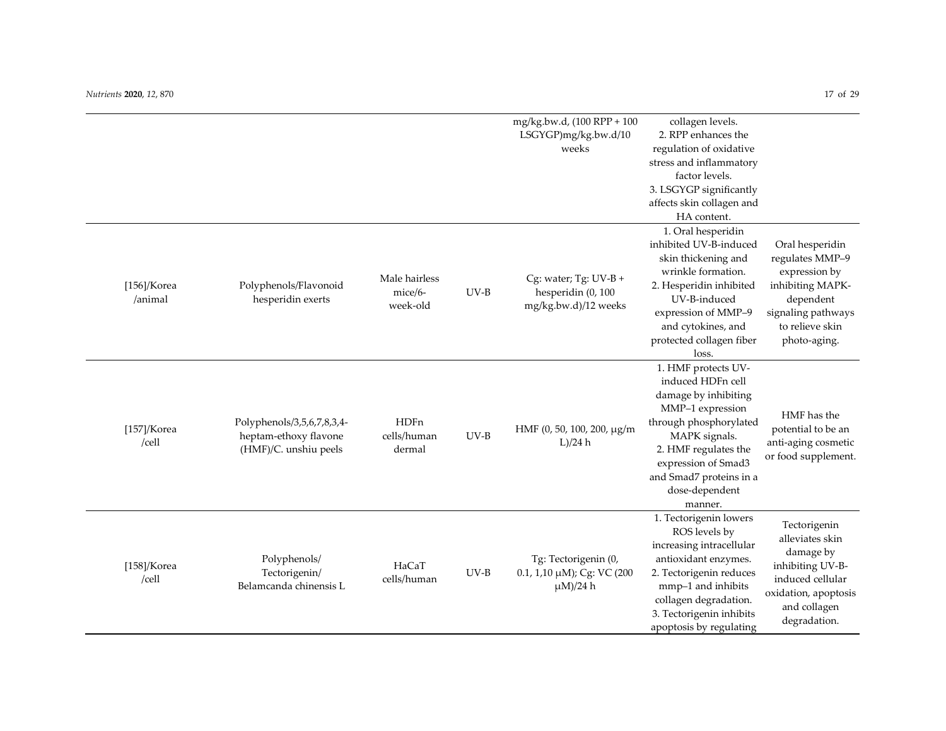|                           |                                                                              |                                      |        | mg/kg.bw.d, (100 RPP + 100<br>LSGYGP)mg/kg.bw.d/10<br>weeks            | collagen levels.<br>2. RPP enhances the<br>regulation of oxidative<br>stress and inflammatory<br>factor levels.<br>3. LSGYGP significantly<br>affects skin collagen and<br>HA content.                                                 |                                                                                                                                               |
|---------------------------|------------------------------------------------------------------------------|--------------------------------------|--------|------------------------------------------------------------------------|----------------------------------------------------------------------------------------------------------------------------------------------------------------------------------------------------------------------------------------|-----------------------------------------------------------------------------------------------------------------------------------------------|
| $[156]$ /Korea<br>/animal | Polyphenols/Flavonoid<br>hesperidin exerts                                   | Male hairless<br>mice/6-<br>week-old | $UV-B$ | Cg: water; Tg: $UV-B +$<br>hesperidin (0, 100<br>mg/kg.bw.d)/12 weeks  | 1. Oral hesperidin<br>inhibited UV-B-induced<br>skin thickening and<br>wrinkle formation.<br>2. Hesperidin inhibited<br>UV-B-induced<br>expression of MMP-9<br>and cytokines, and<br>protected collagen fiber<br>loss.                 | Oral hesperidin<br>regulates MMP-9<br>expression by<br>inhibiting MAPK-<br>dependent<br>signaling pathways<br>to relieve skin<br>photo-aging. |
| $[157]$ /Korea<br>/cell   | Polyphenols/3,5,6,7,8,3,4-<br>heptam-ethoxy flavone<br>(HMF)/C. unshiu peels | <b>HDFn</b><br>cells/human<br>dermal | $UV-B$ | HMF (0, 50, 100, 200, μg/m<br>L)/24 h                                  | 1. HMF protects UV-<br>induced HDFn cell<br>damage by inhibiting<br>MMP-1 expression<br>through phosphorylated<br>MAPK signals.<br>2. HMF regulates the<br>expression of Smad3<br>and Smad7 proteins in a<br>dose-dependent<br>manner. | HMF has the<br>potential to be an<br>anti-aging cosmetic<br>or food supplement.                                                               |
| $[158]$ /Korea<br>/cell   | Polyphenols/<br>Tectorigenin/<br>Belamcanda chinensis L                      | HaCaT<br>cells/human                 | $UV-B$ | Tg: Tectorigenin (0,<br>0.1, 1,10 µM); Cg: VC (200<br>$\mu$ M $)/24$ h | 1. Tectorigenin lowers<br>ROS levels by<br>increasing intracellular<br>antioxidant enzymes.<br>2. Tectorigenin reduces<br>mmp-1 and inhibits<br>collagen degradation.<br>3. Tectorigenin inhibits<br>apoptosis by regulating           | Tectorigenin<br>alleviates skin<br>damage by<br>inhibiting UV-B-<br>induced cellular<br>oxidation, apoptosis<br>and collagen<br>degradation.  |

, *12*, 870 17 of 29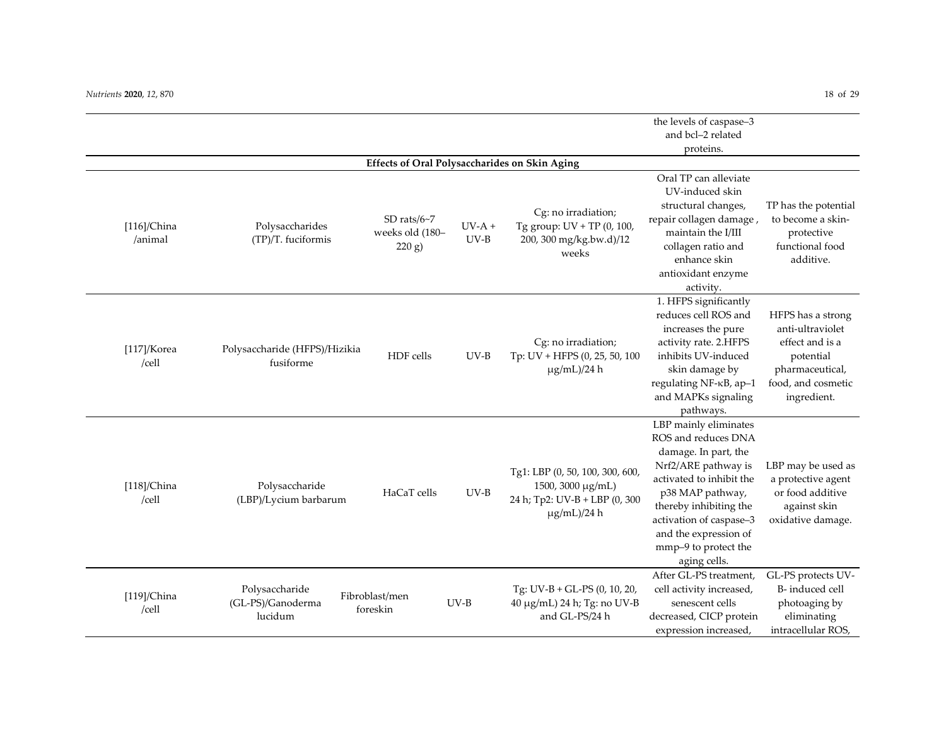|                           |                                                |                                         |                    |                                                                                                           | the levels of caspase-3                                                                                                                                                                                                                                           |                                                                                                                               |
|---------------------------|------------------------------------------------|-----------------------------------------|--------------------|-----------------------------------------------------------------------------------------------------------|-------------------------------------------------------------------------------------------------------------------------------------------------------------------------------------------------------------------------------------------------------------------|-------------------------------------------------------------------------------------------------------------------------------|
|                           |                                                |                                         |                    |                                                                                                           | and bcl-2 related                                                                                                                                                                                                                                                 |                                                                                                                               |
|                           |                                                |                                         |                    |                                                                                                           | proteins.                                                                                                                                                                                                                                                         |                                                                                                                               |
|                           |                                                |                                         |                    | <b>Effects of Oral Polysaccharides on Skin Aging</b>                                                      |                                                                                                                                                                                                                                                                   |                                                                                                                               |
| $[116]$ /China<br>/animal | Polysaccharides<br>(TP)/T. fuciformis          | SD rats/6~7<br>weeks old (180-<br>220 g | $UV-A +$<br>$UV-B$ | Cg: no irradiation;<br>Tg group: UV + TP (0, 100,<br>200, 300 mg/kg.bw.d)/12<br>weeks                     | Oral TP can alleviate<br>UV-induced skin<br>structural changes,<br>repair collagen damage,<br>maintain the I/III<br>collagen ratio and<br>enhance skin<br>antioxidant enzyme                                                                                      | TP has the potential<br>to become a skin-<br>protective<br>functional food<br>additive.                                       |
| $[117]$ /Korea<br>/cell   | Polysaccharide (HFPS)/Hizikia<br>fusiforme     | HDF cells                               | $UV-B$             | Cg: no irradiation;<br>Tp: UV + HFPS (0, 25, 50, 100<br>$\mu$ g/mL)/24 h                                  | activity.<br>1. HFPS significantly<br>reduces cell ROS and<br>increases the pure<br>activity rate. 2.HFPS<br>inhibits UV-induced<br>skin damage by<br>regulating NF-KB, ap-1<br>and MAPKs signaling<br>pathways.                                                  | HFPS has a strong<br>anti-ultraviolet<br>effect and is a<br>potential<br>pharmaceutical,<br>food, and cosmetic<br>ingredient. |
| $[118]$ /China<br>/cell   | Polysaccharide<br>(LBP)/Lycium barbarum        | HaCaT cells                             | $UV-B$             | Tg1: LBP (0, 50, 100, 300, 600,<br>1500, 3000 μg/mL)<br>24 h; Tp2: UV-B + LBP (0, 300<br>$\mu$ g/mL)/24 h | LBP mainly eliminates<br>ROS and reduces DNA<br>damage. In part, the<br>Nrf2/ARE pathway is<br>activated to inhibit the<br>p38 MAP pathway,<br>thereby inhibiting the<br>activation of caspase-3<br>and the expression of<br>mmp-9 to protect the<br>aging cells. | LBP may be used as<br>a protective agent<br>or food additive<br>against skin<br>oxidative damage.                             |
| $[119]$ /China<br>/cell   | Polysaccharide<br>(GL-PS)/Ganoderma<br>lucidum | Fibroblast/men<br>foreskin              | $UV-B$             | Tg: UV-B + GL-PS (0, 10, 20,<br>40 μg/mL) 24 h; Tg: no UV-B<br>and GL-PS/24 h                             | After GL-PS treatment,<br>cell activity increased,<br>senescent cells<br>decreased, CICP protein<br>expression increased,                                                                                                                                         | GL-PS protects UV-<br>B-induced cell<br>photoaging by<br>eliminating<br>intracellular ROS,                                    |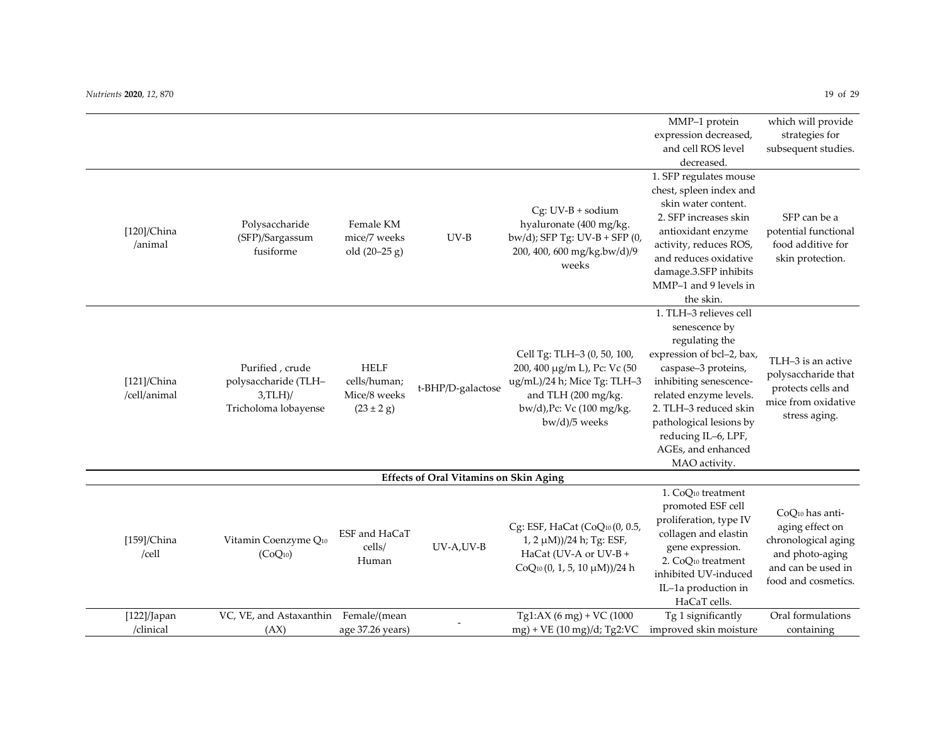|                                |                                                                               |                                                                       |                                               |                                                                                                                                                                   | MMP-1 protein<br>expression decreased,<br>and cell ROS level                                                                                                                                                                                                                        | which will provide<br>strategies for<br>subsequent studies.                                                               |
|--------------------------------|-------------------------------------------------------------------------------|-----------------------------------------------------------------------|-----------------------------------------------|-------------------------------------------------------------------------------------------------------------------------------------------------------------------|-------------------------------------------------------------------------------------------------------------------------------------------------------------------------------------------------------------------------------------------------------------------------------------|---------------------------------------------------------------------------------------------------------------------------|
|                                |                                                                               |                                                                       |                                               |                                                                                                                                                                   | decreased.                                                                                                                                                                                                                                                                          |                                                                                                                           |
| $[120]$ /China<br>/animal      | Polysaccharide<br>(SFP)/Sargassum<br>fusiforme                                | Female KM<br>mice/7 weeks<br>old $(20-25 g)$                          | $UV-B$                                        | $Cg$ : UV-B + sodium<br>hyaluronate (400 mg/kg.<br>$bw/d$ ); SFP Tg: UV-B + SFP $(0,$<br>200, 400, 600 mg/kg.bw/d)/9<br>weeks                                     | 1. SFP regulates mouse<br>chest, spleen index and<br>skin water content.<br>2. SFP increases skin<br>antioxidant enzyme<br>activity, reduces ROS,<br>and reduces oxidative<br>damage.3.SFP inhibits<br>MMP-1 and 9 levels in<br>the skin.                                           | SFP can be a<br>potential functional<br>food additive for<br>skin protection.                                             |
| $[121]$ /China<br>/cell/animal | Purified, crude<br>polysaccharide (TLH-<br>$3,TLH$ )/<br>Tricholoma lobayense | <b>HELF</b><br>cells/human;<br>Mice/8 weeks<br>$(23 \pm 2 \text{ g})$ | t-BHP/D-galactose                             | Cell Tg: TLH-3 (0, 50, 100,<br>200, 400 μg/m L), Pc: Vc (50<br>ug/mL)/24 h; Mice Tg: TLH-3<br>and TLH (200 mg/kg.<br>bw/d), Pc: Vc (100 mg/kg.<br>$bw/d)/5$ weeks | 1. TLH-3 relieves cell<br>senescence by<br>regulating the<br>expression of bcl-2, bax,<br>caspase-3 proteins,<br>inhibiting senescence-<br>related enzyme levels.<br>2. TLH-3 reduced skin<br>pathological lesions by<br>reducing IL-6, LPF,<br>AGEs, and enhanced<br>MAO activity. | TLH-3 is an active<br>polysaccharide that<br>protects cells and<br>mice from oxidative<br>stress aging.                   |
|                                |                                                                               |                                                                       | <b>Effects of Oral Vitamins on Skin Aging</b> |                                                                                                                                                                   |                                                                                                                                                                                                                                                                                     |                                                                                                                           |
| $[159]$ /China<br>/cell        | Vitamin Coenzyme Q10<br>(CoQ <sub>10</sub> )                                  | ESF and HaCaT<br>cells/<br>Human                                      | UV-A,UV-B                                     | Cg: ESF, HaCat (CoQ10 (0, 0.5,<br>$1, 2 \mu M$ ))/24 h; Tg: ESF,<br>HaCat (UV-A or UV-B +<br>CoQ <sub>10</sub> (0, 1, 5, 10 μM))/24 h                             | 1. CoQ <sup>10</sup> treatment<br>promoted ESF cell<br>proliferation, type IV<br>collagen and elastin<br>gene expression.<br>2. CoQ <sup>10</sup> treatment<br>inhibited UV-induced<br>IL-1a production in<br>HaCaT cells.                                                          | CoQ10 has anti-<br>aging effect on<br>chronological aging<br>and photo-aging<br>and can be used in<br>food and cosmetics. |
| $[122]/$ Japan<br>/clinical    | VC, VE, and Astaxanthin<br>(AX)                                               | Female/(mean<br>age 37.26 years)                                      |                                               | Tg1:AX $(6 \text{ mg}) + \text{VC}$ (1000)<br>$mg$ ) + VE (10 mg)/d; Tg2:VC                                                                                       | Tg 1 significantly<br>improved skin moisture                                                                                                                                                                                                                                        | Oral formulations<br>containing                                                                                           |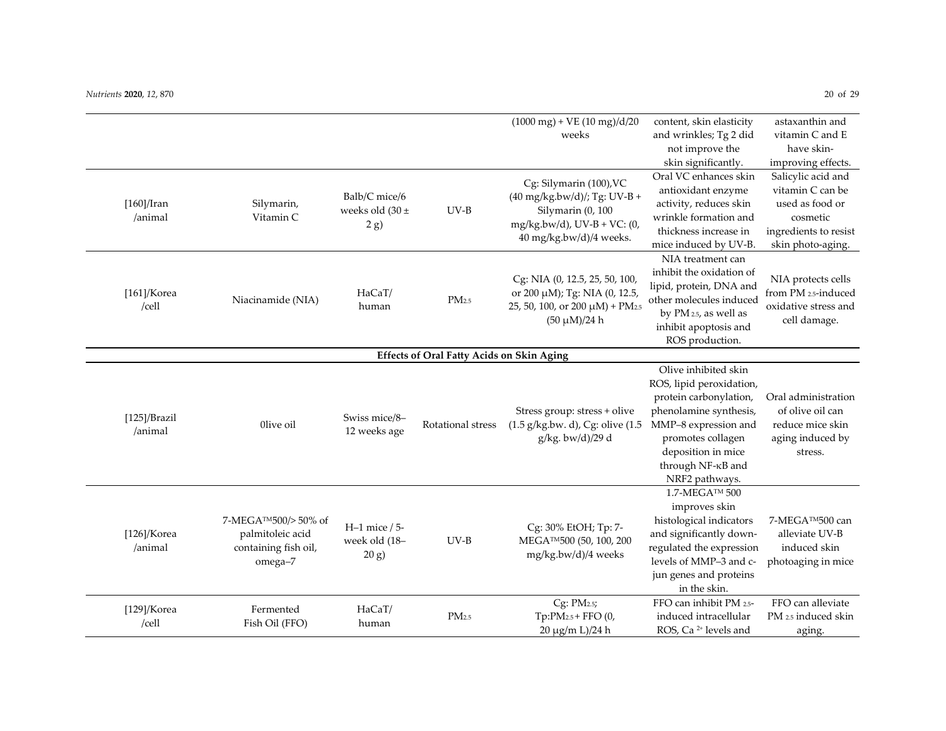|                            |                                                                           |                                              |                                                  | $(1000 \text{ mg}) + \text{VE} (10 \text{ mg}) / d/20$<br>weeks                                                                                    | content, skin elasticity<br>and wrinkles; Tg 2 did<br>not improve the<br>skin significantly.                                                                                                                   | astaxanthin and<br>vitamin C and E<br>have skin-                                                                                          |
|----------------------------|---------------------------------------------------------------------------|----------------------------------------------|--------------------------------------------------|----------------------------------------------------------------------------------------------------------------------------------------------------|----------------------------------------------------------------------------------------------------------------------------------------------------------------------------------------------------------------|-------------------------------------------------------------------------------------------------------------------------------------------|
| $[160]/$ Iran<br>/animal   | Silymarin,<br>Vitamin C                                                   | Balb/C mice/6<br>weeks old $(30 \pm$<br>2 g) | $UV-B$                                           | Cg: Silymarin (100), VC<br>$(40 \text{ mg/kg.bw/d})$ ; Tg: UV-B +<br>Silymarin (0, 100<br>$mg/kg.bw/d$ , UV-B + VC: (0,<br>40 mg/kg.bw/d)/4 weeks. | Oral VC enhances skin<br>antioxidant enzyme<br>activity, reduces skin<br>wrinkle formation and<br>thickness increase in<br>mice induced by UV-B.                                                               | improving effects.<br>Salicylic acid and<br>vitamin C can be<br>used as food or<br>cosmetic<br>ingredients to resist<br>skin photo-aging. |
| $[161]$ /Korea<br>/cell    | Niacinamide (NIA)                                                         | HaCaT/<br>human                              | PM <sub>2.5</sub>                                | Cg: NIA (0, 12.5, 25, 50, 100,<br>or 200 μM); Tg: NIA (0, 12.5,<br>25, 50, 100, or 200 µM) + PM <sub>2.5</sub><br>$(50 \mu M)/24 h$                | NIA treatment can<br>inhibit the oxidation of<br>lipid, protein, DNA and<br>other molecules induced<br>by PM 2.5, as well as<br>inhibit apoptosis and<br>ROS production.                                       | NIA protects cells<br>from PM 2.5-induced<br>oxidative stress and<br>cell damage.                                                         |
|                            |                                                                           |                                              | <b>Effects of Oral Fatty Acids on Skin Aging</b> |                                                                                                                                                    |                                                                                                                                                                                                                |                                                                                                                                           |
| $[125]$ /Brazil<br>/animal | Olive oil                                                                 | Swiss mice/8-<br>12 weeks age                | Rotational stress                                | Stress group: stress + olive<br>$(1.5 \text{ g/kg.bw. d})$ , Cg: olive $(1.5$<br>g/kg. bw/d)/29 d                                                  | Olive inhibited skin<br>ROS, lipid peroxidation,<br>protein carbonylation,<br>phenolamine synthesis,<br>MMP-8 expression and<br>promotes collagen<br>deposition in mice<br>through NF-KB and<br>NRF2 pathways. | Oral administration<br>of olive oil can<br>reduce mice skin<br>aging induced by<br>stress.                                                |
| $[126]$ /Korea<br>/animal  | 7-MEGA™500/>50% of<br>palmitoleic acid<br>containing fish oil,<br>omega-7 | $H-1$ mice / 5-<br>week old (18-<br>20 g     | $UV-B$                                           | Cg: 30% EtOH; Tp: 7-<br>MEGA <sup>TM</sup> 500 (50, 100, 200<br>mg/kg.bw/d)/4 weeks                                                                | 1.7-MEGA™ 500<br>improves skin<br>histological indicators<br>and significantly down-<br>regulated the expression<br>levels of MMP-3 and c-<br>jun genes and proteins<br>in the skin.                           | 7-MEGA™500 can<br>alleviate UV-B<br>induced skin<br>photoaging in mice                                                                    |
| $[129]$ /Korea<br>/cell    | Fermented<br>Fish Oil (FFO)                                               | HaCaT/<br>human                              | PM <sub>2.5</sub>                                | Cg: PM2.5;<br>Tp:PM <sub>2.5</sub> + FFO (0,<br>20 μg/m L)/24 h                                                                                    | FFO can inhibit PM 2.5-<br>induced intracellular<br>ROS, Ca <sup>2+</sup> levels and                                                                                                                           | FFO can alleviate<br>PM 2.5 induced skin<br>aging.                                                                                        |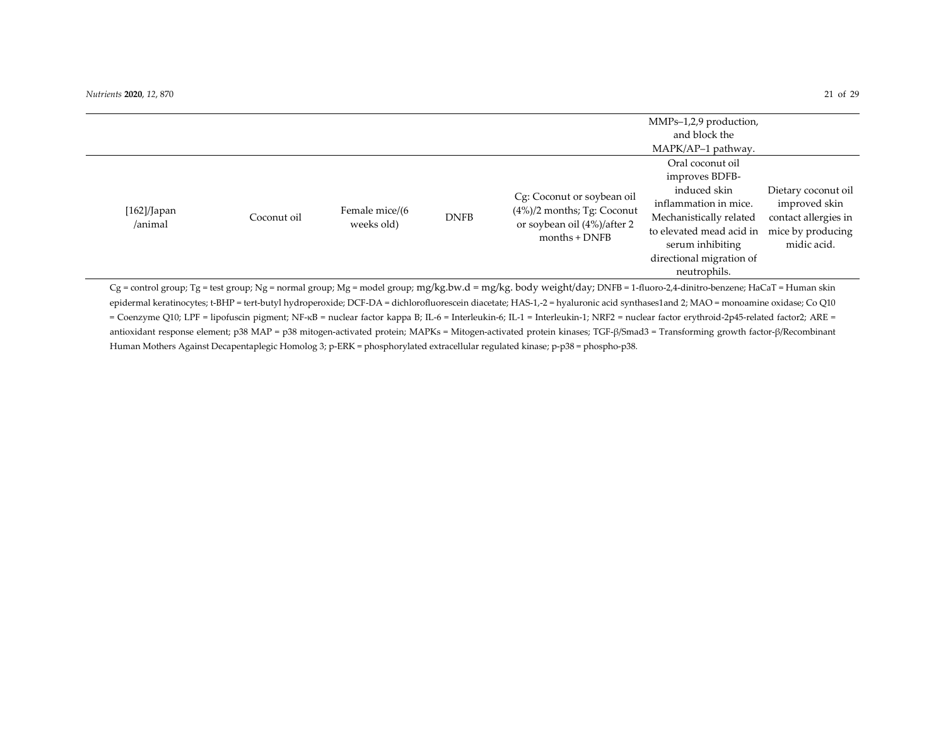|                        |             |                              |             |                                                                                                                | MMPs-1,2,9 production,<br>and block the<br>MAPK/AP-1 pathway.                                                                                                                                      |                                                                                                  |
|------------------------|-------------|------------------------------|-------------|----------------------------------------------------------------------------------------------------------------|----------------------------------------------------------------------------------------------------------------------------------------------------------------------------------------------------|--------------------------------------------------------------------------------------------------|
| [162]/Japan<br>/animal | Coconut oil | Female mice/(6<br>weeks old) | <b>DNFB</b> | Cg: Coconut or soybean oil<br>$(4\%)$ /2 months; Tg: Coconut<br>or soybean oil (4%)/after 2<br>$months + DNFB$ | Oral coconut oil<br>improves BDFB-<br>induced skin<br>inflammation in mice.<br>Mechanistically related<br>to elevated mead acid in<br>serum inhibiting<br>directional migration of<br>neutrophils. | Dietary coconut oil<br>improved skin<br>contact allergies in<br>mice by producing<br>midic acid. |

Cg = control group; Tg = test group; Ng = normal group; Mg = model group; mg/kg.bw.d = mg/kg. body weight/day; DNFB = 1-fluoro-2,4-dinitro-benzene; HaCaT = Human skin epidermal keratinocytes; t-BHP = tert-butyl hydroperoxide; DCF-DA = dichlorofluorescein diacetate; HAS-1,-2 = hyaluronic acid synthases1and 2; MAO = monoamine oxidase; Co Q10 = Coenzyme Q10; LPF = lipofuscin pigment; NF-κB = nuclear factor kappa B; IL-6 = Interleukin-6; IL-1 = Interleukin-1; NRF2 = nuclear factor erythroid-2p45-related factor2; ARE = antioxidant response element; p38 MAP = p38 mitogen-activated protein; MAPKs = Mitogen-activated protein kinases; TGF-β/Smad3 = Transforming growth factor-β/Recombinant Human Mothers Against Decapentaplegic Homolog 3; p-ERK = phosphorylated extracellular regulated kinase; p-p38 = phospho-p38.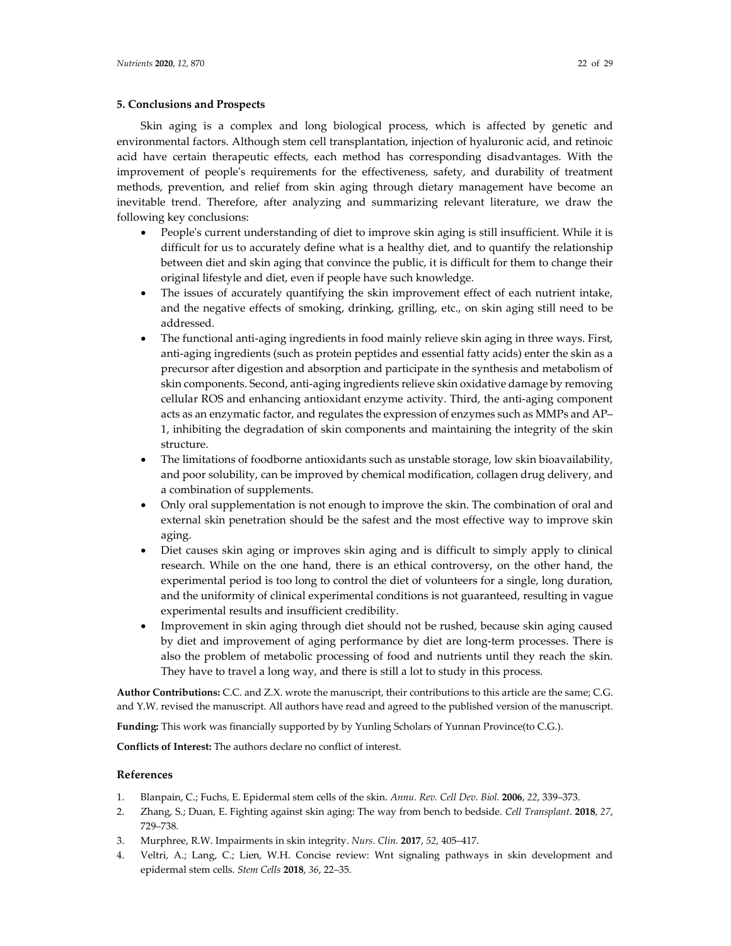Skin aging is a complex and long biological process, which is affected by genetic and environmental factors. Although stem cell transplantation, injection of hyaluronic acid, and retinoic acid have certain therapeutic effects, each method has corresponding disadvantages. With the improvement of people's requirements for the effectiveness, safety, and durability of treatment methods, prevention, and relief from skin aging through dietary management have become an inevitable trend. Therefore, after analyzing and summarizing relevant literature, we draw the following key conclusions:

- People's current understanding of diet to improve skin aging is still insufficient. While it is difficult for us to accurately define what is a healthy diet, and to quantify the relationship between diet and skin aging that convince the public, it is difficult for them to change their original lifestyle and diet, even if people have such knowledge.
- The issues of accurately quantifying the skin improvement effect of each nutrient intake, and the negative effects of smoking, drinking, grilling, etc., on skin aging still need to be addressed.
- The functional anti-aging ingredients in food mainly relieve skin aging in three ways. First, anti-aging ingredients (such as protein peptides and essential fatty acids) enter the skin as a precursor after digestion and absorption and participate in the synthesis and metabolism of skin components. Second, anti-aging ingredients relieve skin oxidative damage by removing cellular ROS and enhancing antioxidant enzyme activity. Third, the anti-aging component acts as an enzymatic factor, and regulates the expression of enzymes such as MMPs and AP– 1, inhibiting the degradation of skin components and maintaining the integrity of the skin structure.
- The limitations of foodborne antioxidants such as unstable storage, low skin bioavailability, and poor solubility, can be improved by chemical modification, collagen drug delivery, and a combination of supplements.
- Only oral supplementation is not enough to improve the skin. The combination of oral and external skin penetration should be the safest and the most effective way to improve skin aging.
- Diet causes skin aging or improves skin aging and is difficult to simply apply to clinical research. While on the one hand, there is an ethical controversy, on the other hand, the experimental period is too long to control the diet of volunteers for a single, long duration, and the uniformity of clinical experimental conditions is not guaranteed, resulting in vague experimental results and insufficient credibility.
- Improvement in skin aging through diet should not be rushed, because skin aging caused by diet and improvement of aging performance by diet are long-term processes. There is also the problem of metabolic processing of food and nutrients until they reach the skin. They have to travel a long way, and there is still a lot to study in this process.

**Author Contributions:** C.C. and Z.X. wrote the manuscript, their contributions to this article are the same; C.G. and Y.W. revised the manuscript. All authors have read and agreed to the published version of the manuscript.

**Funding:** This work was financially supported by by Yunling Scholars of Yunnan Province(to C.G.).

**Conflicts of Interest:** The authors declare no conflict of interest.

## **References**

- 1. Blanpain, C.; Fuchs, E. Epidermal stem cells of the skin. *Annu. Rev. Cell Dev. Biol.* **2006**, *22*, 339–373.
- 2. Zhang, S.; Duan, E. Fighting against skin aging: The way from bench to bedside. *Cell Transplant.* **2018**, *27*, 729–738.
- 3. Murphree, R.W. Impairments in skin integrity. *Nurs. Clin.* **2017**, *52*, 405–417.
- 4. Veltri, A.; Lang, C.; Lien, W.H. Concise review: Wnt signaling pathways in skin development and epidermal stem cells. *Stem Cells* **2018**, *36*, 22–35.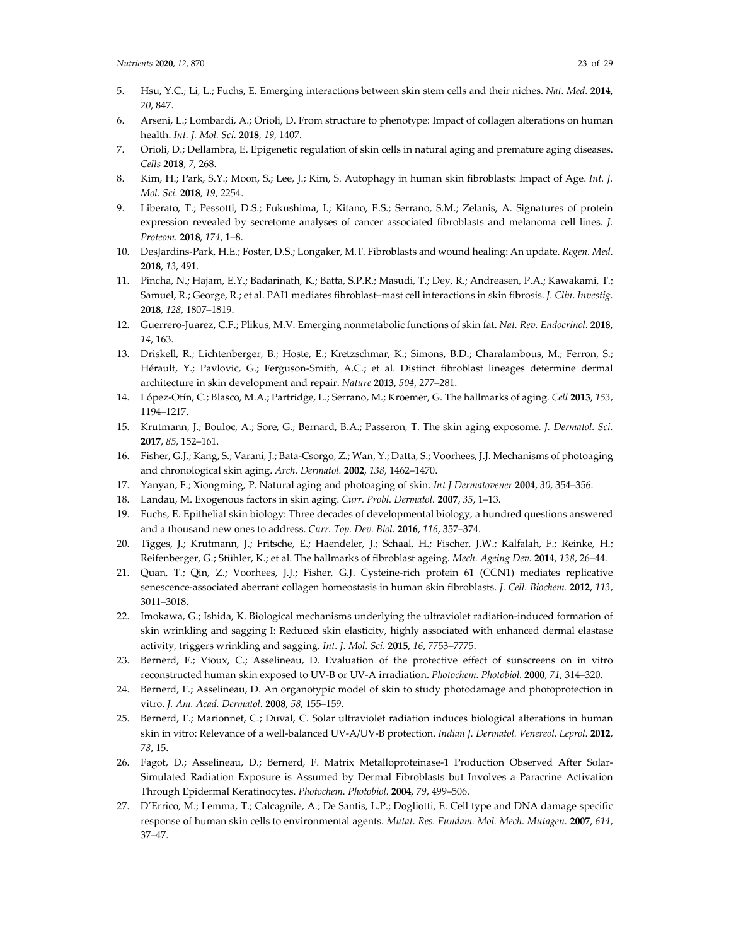- 5. Hsu, Y.C.; Li, L.; Fuchs, E. Emerging interactions between skin stem cells and their niches. *Nat. Med.* **2014**, *20*, 847.
- 6. Arseni, L.; Lombardi, A.; Orioli, D. From structure to phenotype: Impact of collagen alterations on human health. *Int. J. Mol. Sci.* **2018**, *19*, 1407.
- 7. Orioli, D.; Dellambra, E. Epigenetic regulation of skin cells in natural aging and premature aging diseases. *Cells* **2018**, *7*, 268.
- 8. Kim, H.; Park, S.Y.; Moon, S.; Lee, J.; Kim, S. Autophagy in human skin fibroblasts: Impact of Age. *Int. J. Mol. Sci.* **2018**, *19*, 2254.
- 9. Liberato, T.; Pessotti, D.S.; Fukushima, I.; Kitano, E.S.; Serrano, S.M.; Zelanis, A. Signatures of protein expression revealed by secretome analyses of cancer associated fibroblasts and melanoma cell lines. *J. Proteom.* **2018**, *174*, 1–8.
- 10. DesJardins-Park, H.E.; Foster, D.S.; Longaker, M.T. Fibroblasts and wound healing: An update. *Regen. Med.* **2018**, *13*, 491.
- 11. Pincha, N.; Hajam, E.Y.; Badarinath, K.; Batta, S.P.R.; Masudi, T.; Dey, R.; Andreasen, P.A.; Kawakami, T.; Samuel, R.; George, R.; et al. PAI1 mediates fibroblast–mast cell interactions in skin fibrosis. *J. Clin. Investig.* **2018**, *128*, 1807–1819.
- 12. Guerrero-Juarez, C.F.; Plikus, M.V. Emerging nonmetabolic functions of skin fat. *Nat. Rev. Endocrinol.* **2018**, *14*, 163.
- 13. Driskell, R.; Lichtenberger, B.; Hoste, E.; Kretzschmar, K.; Simons, B.D.; Charalambous, M.; Ferron, S.; Hérault, Y.; Pavlovic, G.; Ferguson-Smith, A.C.; et al. Distinct fibroblast lineages determine dermal architecture in skin development and repair. *Nature* **2013**, *504*, 277–281.
- 14. López-Otín, C.; Blasco, M.A.; Partridge, L.; Serrano, M.; Kroemer, G. The hallmarks of aging. *Cell* **2013**, *153*, 1194–1217.
- 15. Krutmann, J.; Bouloc, A.; Sore, G.; Bernard, B.A.; Passeron, T. The skin aging exposome. *J. Dermatol. Sci.*  **2017**, *85*, 152–161.
- 16. Fisher, G.J.; Kang, S.; Varani, J.; Bata-Csorgo, Z.; Wan, Y.; Datta, S.; Voorhees, J.J. Mechanisms of photoaging and chronological skin aging. *Arch. Dermatol.* **2002**, *138*, 1462–1470.
- 17. Yanyan, F.; Xiongming, P. Natural aging and photoaging of skin. *Int J Dermatovener* **2004**, *30*, 354–356.
- 18. Landau, M. Exogenous factors in skin aging. *Curr. Probl. Dermatol.* **2007**, *35*, 1–13.
- 19. Fuchs, E. Epithelial skin biology: Three decades of developmental biology, a hundred questions answered and a thousand new ones to address. *Curr. Top. Dev. Biol.* **2016**, *116*, 357–374.
- 20. Tigges, J.; Krutmann, J.; Fritsche, E.; Haendeler, J.; Schaal, H.; Fischer, J.W.; Kalfalah, F.; Reinke, H.; Reifenberger, G.; Stühler, K.; et al. The hallmarks of fibroblast ageing. *Mech. Ageing Dev.* **2014**, *138*, 26–44.
- 21. Quan, T.; Qin, Z.; Voorhees, J.J.; Fisher, G.J. Cysteine-rich protein 61 (CCN1) mediates replicative senescence-associated aberrant collagen homeostasis in human skin fibroblasts. *J. Cell. Biochem.* **2012**, *113*, 3011–3018.
- 22. Imokawa, G.; Ishida, K. Biological mechanisms underlying the ultraviolet radiation-induced formation of skin wrinkling and sagging I: Reduced skin elasticity, highly associated with enhanced dermal elastase activity, triggers wrinkling and sagging. *Int. J. Mol. Sci.* **2015**, *16*, 7753–7775.
- 23. Bernerd, F.; Vioux, C.; Asselineau, D. Evaluation of the protective effect of sunscreens on in vitro reconstructed human skin exposed to UV-B or UV-A irradiation. *Photochem. Photobiol.* **2000**, *71*, 314–320.
- 24. Bernerd, F.; Asselineau, D. An organotypic model of skin to study photodamage and photoprotection in vitro. *J. Am. Acad. Dermatol.* **2008**, *58*, 155–159.
- 25. Bernerd, F.; Marionnet, C.; Duval, C. Solar ultraviolet radiation induces biological alterations in human skin in vitro: Relevance of a well-balanced UV-A/UV-B protection. *Indian J. Dermatol. Venereol. Leprol.* **2012**, *78*, 15.
- 26. Fagot, D.; Asselineau, D.; Bernerd, F. Matrix Metalloproteinase-1 Production Observed After Solar-Simulated Radiation Exposure is Assumed by Dermal Fibroblasts but Involves a Paracrine Activation Through Epidermal Keratinocytes. *Photochem. Photobiol.* **2004**, *79*, 499–506.
- 27. D'Errico, M.; Lemma, T.; Calcagnile, A.; De Santis, L.P.; Dogliotti, E. Cell type and DNA damage specific response of human skin cells to environmental agents. *Mutat. Res. Fundam. Mol. Mech. Mutagen.* **2007**, *614*, 37–47.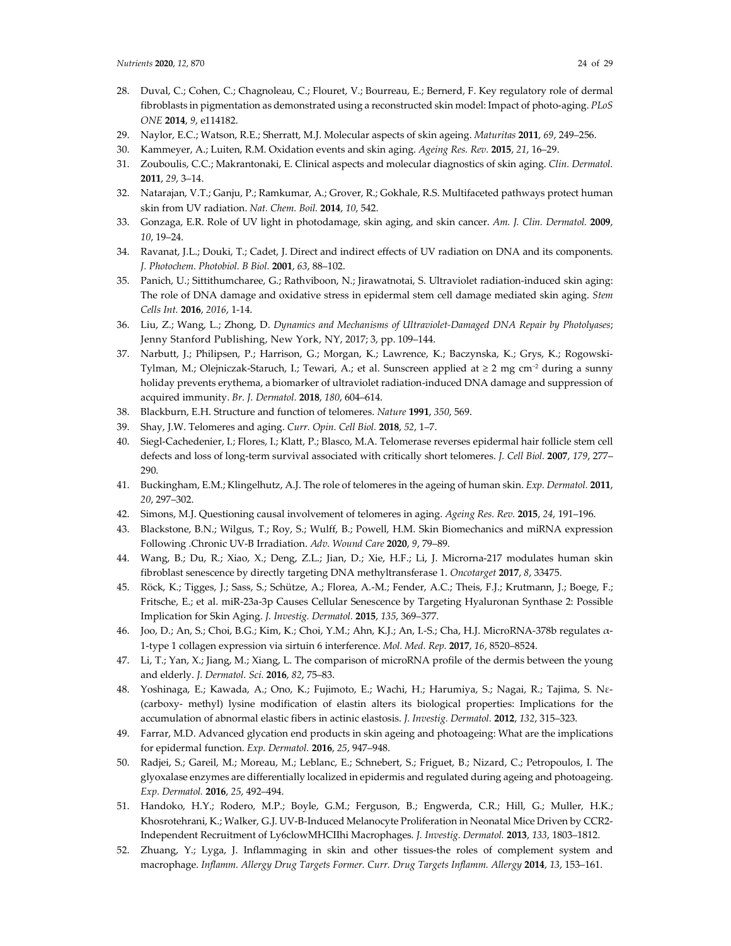- 28. Duval, C.; Cohen, C.; Chagnoleau, C.; Flouret, V.; Bourreau, E.; Bernerd, F. Key regulatory role of dermal fibroblasts in pigmentation as demonstrated using a reconstructed skin model: Impact of photo-aging. *PLoS ONE* **2014**, *9*, e114182.
- 29. Naylor, E.C.; Watson, R.E.; Sherratt, M.J. Molecular aspects of skin ageing. *Maturitas* **2011**, *69*, 249–256.
- 30. Kammeyer, A.; Luiten, R.M. Oxidation events and skin aging. *Ageing Res. Rev.* **2015**, *21*, 16–29.
- 31. Zouboulis, C.C.; Makrantonaki, E. Clinical aspects and molecular diagnostics of skin aging. *Clin. Dermatol.*  **2011**, *29*, 3–14.
- 32. Natarajan, V.T.; Ganju, P.; Ramkumar, A.; Grover, R.; Gokhale, R.S. Multifaceted pathways protect human skin from UV radiation. *Nat. Chem. Boil.* **2014**, *10*, 542.
- 33. Gonzaga, E.R. Role of UV light in photodamage, skin aging, and skin cancer. *Am. J. Clin. Dermatol.* **2009**, *10*, 19–24.
- 34. Ravanat, J.L.; Douki, T.; Cadet, J. Direct and indirect effects of UV radiation on DNA and its components. *J. Photochem. Photobiol. B Biol.* **2001**, *63*, 88–102.
- 35. Panich, U.; Sittithumcharee, G.; Rathviboon, N.; Jirawatnotai, S. Ultraviolet radiation-induced skin aging: The role of DNA damage and oxidative stress in epidermal stem cell damage mediated skin aging. *Stem Cells Int.* **2016**, *2016*, 1-14.
- 36. Liu, Z.; Wang, L.; Zhong, D. *Dynamics and Mechanisms of Ultraviolet-Damaged DNA Repair by Photolyases*; Jenny Stanford Publishing, New York, NY, 2017; 3, pp. 109–144.
- 37. Narbutt, J.; Philipsen, P.; Harrison, G.; Morgan, K.; Lawrence, K.; Baczynska, K.; Grys, K.; Rogowski-Tylman, M.; Olejniczak-Staruch, I.; Tewari, A.; et al. Sunscreen applied at ≥ 2 mg cm−2 during a sunny holiday prevents erythema, a biomarker of ultraviolet radiation-induced DNA damage and suppression of acquired immunity. *Br. J. Dermatol.* **2018**, *180*, 604–614.
- 38. Blackburn, E.H. Structure and function of telomeres. *Nature* **1991**, *350*, 569.
- 39. Shay, J.W. Telomeres and aging. *Curr. Opin. Cell Biol.* **2018**, *52*, 1–7.
- 40. Siegl-Cachedenier, I.; Flores, I.; Klatt, P.; Blasco, M.A. Telomerase reverses epidermal hair follicle stem cell defects and loss of long-term survival associated with critically short telomeres. *J. Cell Biol.* **2007**, *179*, 277– 290.
- 41. Buckingham, E.M.; Klingelhutz, A.J. The role of telomeres in the ageing of human skin. *Exp. Dermatol.* **2011**, *20*, 297–302.
- 42. Simons, M.J. Questioning causal involvement of telomeres in aging. *Ageing Res. Rev.* **2015**, *24*, 191–196.
- 43. Blackstone, B.N.; Wilgus, T.; Roy, S.; Wulff, B.; Powell, H.M. Skin Biomechanics and miRNA expression Following .Chronic UV-B Irradiation. *Adv. Wound Care* **2020**, *9*, 79–89.
- 44. Wang, B.; Du, R.; Xiao, X.; Deng, Z.L.; Jian, D.; Xie, H.F.; Li, J. Microrna-217 modulates human skin fibroblast senescence by directly targeting DNA methyltransferase 1. *Oncotarget* **2017**, *8*, 33475.
- 45. Röck, K.; Tigges, J.; Sass, S.; Schütze, A.; Florea, A.-M.; Fender, A.C.; Theis, F.J.; Krutmann, J.; Boege, F.; Fritsche, E.; et al. miR-23a-3p Causes Cellular Senescence by Targeting Hyaluronan Synthase 2: Possible Implication for Skin Aging. *J. Investig. Dermatol.* **2015**, *135*, 369–377.
- 46. Joo, D.; An, S.; Choi, B.G.; Kim, K.; Choi, Y.M.; Ahn, K.J.; An, I.-S.; Cha, H.J. MicroRNA-378b regulates α-1-type 1 collagen expression via sirtuin 6 interference. *Mol. Med. Rep.* **2017**, *16*, 8520–8524.
- 47. Li, T.; Yan, X.; Jiang, M.; Xiang, L. The comparison of microRNA profile of the dermis between the young and elderly. *J. Dermatol. Sci.* **2016**, *82*, 75–83.
- 48. Yoshinaga, E.; Kawada, A.; Ono, K.; Fujimoto, E.; Wachi, H.; Harumiya, S.; Nagai, R.; Tajima, S. Nε- (carboxy- methyl) lysine modification of elastin alters its biological properties: Implications for the accumulation of abnormal elastic fibers in actinic elastosis. *J. Investig. Dermatol.* **2012**, *132*, 315–323.
- 49. Farrar, M.D. Advanced glycation end products in skin ageing and photoageing: What are the implications for epidermal function. *Exp. Dermatol.* **2016**, *25*, 947–948.
- 50. Radjei, S.; Gareil, M.; Moreau, M.; Leblanc, E.; Schnebert, S.; Friguet, B.; Nizard, C.; Petropoulos, I. The glyoxalase enzymes are differentially localized in epidermis and regulated during ageing and photoageing. *Exp. Dermatol.* **2016**, *25*, 492–494.
- 51. Handoko, H.Y.; Rodero, M.P.; Boyle, G.M.; Ferguson, B.; Engwerda, C.R.; Hill, G.; Muller, H.K.; Khosrotehrani, K.; Walker, G.J. UV-B-Induced Melanocyte Proliferation in Neonatal Mice Driven by CCR2- Independent Recruitment of Ly6clowMHCIIhi Macrophages. *J. Investig. Dermatol.* **2013**, *133*, 1803–1812.
- 52. Zhuang, Y.; Lyga, J. Inflammaging in skin and other tissues-the roles of complement system and macrophage. *Inflamm. Allergy Drug Targets Former. Curr. Drug Targets Inflamm. Allergy* **2014**, *13*, 153–161.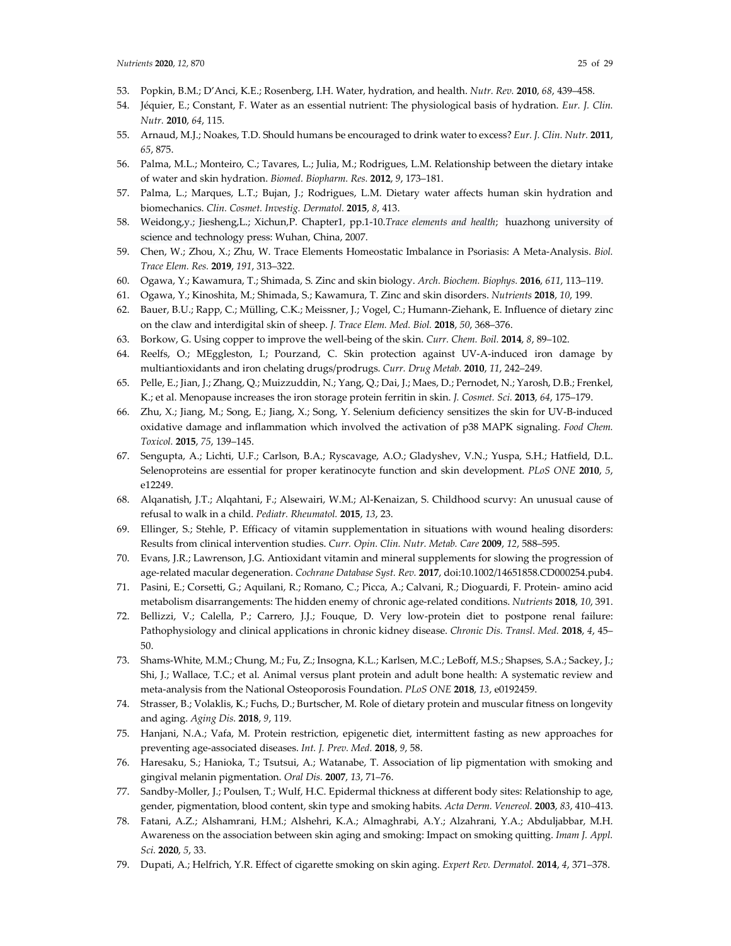- 53. Popkin, B.M.; D'Anci, K.E.; Rosenberg, I.H. Water, hydration, and health. *Nutr. Rev.* **2010**, *68*, 439–458.
- 54. Jéquier, E.; Constant, F. Water as an essential nutrient: The physiological basis of hydration. *Eur. J. Clin. Nutr.* **2010**, *64*, 115.
- 55. Arnaud, M.J.; Noakes, T.D. Should humans be encouraged to drink water to excess? *Eur. J. Clin. Nutr.* **2011**, *65*, 875.
- 56. Palma, M.L.; Monteiro, C.; Tavares, L.; Julia, M.; Rodrigues, L.M. Relationship between the dietary intake of water and skin hydration. *Biomed. Biopharm. Res.* **2012**, *9*, 173–181.
- 57. Palma, L.; Marques, L.T.; Bujan, J.; Rodrigues, L.M. Dietary water affects human skin hydration and biomechanics. *Clin. Cosmet. Investig. Dermatol.* **2015**, *8*, 413.
- 58. Weidong,y.; Jiesheng,L.; Xichun,P. Chapter1, pp.1-10.*Trace elements and health*; huazhong university of science and technology press: Wuhan, China, 2007.
- 59. Chen, W.; Zhou, X.; Zhu, W. Trace Elements Homeostatic Imbalance in Psoriasis: A Meta-Analysis. *Biol. Trace Elem. Res.* **2019**, *191*, 313–322.
- 60. Ogawa, Y.; Kawamura, T.; Shimada, S. Zinc and skin biology. *Arch. Biochem. Biophys.* **2016**, *611*, 113–119.
- 61. Ogawa, Y.; Kinoshita, M.; Shimada, S.; Kawamura, T. Zinc and skin disorders. *Nutrients* **2018**, *10*, 199.
- 62. Bauer, B.U.; Rapp, C.; Mülling, C.K.; Meissner, J.; Vogel, C.; Humann-Ziehank, E. Influence of dietary zinc on the claw and interdigital skin of sheep. *J. Trace Elem. Med. Biol.* **2018**, *50*, 368–376.
- 63. Borkow, G. Using copper to improve the well-being of the skin. *Curr. Chem. Boil.* **2014**, *8*, 89–102.
- 64. Reelfs, O.; MEggleston, I.; Pourzand, C. Skin protection against UV-A-induced iron damage by multiantioxidants and iron chelating drugs/prodrugs. *Curr. Drug Metab.* **2010**, *11*, 242–249.
- 65. Pelle, E.; Jian, J.; Zhang, Q.; Muizzuddin, N.; Yang, Q.; Dai, J.; Maes, D.; Pernodet, N.; Yarosh, D.B.; Frenkel, K.; et al. Menopause increases the iron storage protein ferritin in skin. *J. Cosmet. Sci.* **2013**, *64*, 175–179.
- 66. Zhu, X.; Jiang, M.; Song, E.; Jiang, X.; Song, Y. Selenium deficiency sensitizes the skin for UV-B-induced oxidative damage and inflammation which involved the activation of p38 MAPK signaling. *Food Chem. Toxicol.* **2015**, *75*, 139–145.
- 67. Sengupta, A.; Lichti, U.F.; Carlson, B.A.; Ryscavage, A.O.; Gladyshev, V.N.; Yuspa, S.H.; Hatfield, D.L. Selenoproteins are essential for proper keratinocyte function and skin development. *PLoS ONE* **2010**, *5*, e12249.
- 68. Alqanatish, J.T.; Alqahtani, F.; Alsewairi, W.M.; Al-Kenaizan, S. Childhood scurvy: An unusual cause of refusal to walk in a child. *Pediatr. Rheumatol.* **2015**, *13*, 23.
- 69. Ellinger, S.; Stehle, P. Efficacy of vitamin supplementation in situations with wound healing disorders: Results from clinical intervention studies. *Curr. Opin. Clin. Nutr. Metab. Care* **2009**, *12*, 588–595.
- 70. Evans, J.R.; Lawrenson, J.G. Antioxidant vitamin and mineral supplements for slowing the progression of age-related macular degeneration. *Cochrane Database Syst. Rev.* **2017**, doi:10.1002/14651858.CD000254.pub4.
- 71. Pasini, E.; Corsetti, G.; Aquilani, R.; Romano, C.; Picca, A.; Calvani, R.; Dioguardi, F. Protein- amino acid metabolism disarrangements: The hidden enemy of chronic age-related conditions. *Nutrients* **2018**, *10*, 391.
- 72. Bellizzi, V.; Calella, P.; Carrero, J.J.; Fouque, D. Very low-protein diet to postpone renal failure: Pathophysiology and clinical applications in chronic kidney disease. *Chronic Dis. Transl. Med.* **2018**, *4*, 45– 50.
- 73. Shams-White, M.M.; Chung, M.; Fu, Z.; Insogna, K.L.; Karlsen, M.C.; LeBoff, M.S.; Shapses, S.A.; Sackey, J.; Shi, J.; Wallace, T.C.; et al. Animal versus plant protein and adult bone health: A systematic review and meta-analysis from the National Osteoporosis Foundation. *PLoS ONE* **2018**, *13*, e0192459.
- 74. Strasser, B.; Volaklis, K.; Fuchs, D.; Burtscher, M. Role of dietary protein and muscular fitness on longevity and aging. *Aging Dis.* **2018**, *9*, 119.
- 75. Hanjani, N.A.; Vafa, M. Protein restriction, epigenetic diet, intermittent fasting as new approaches for preventing age-associated diseases. *Int. J. Prev. Med.* **2018**, *9*, 58.
- 76. Haresaku, S.; Hanioka, T.; Tsutsui, A.; Watanabe, T. Association of lip pigmentation with smoking and gingival melanin pigmentation. *Oral Dis.* **2007**, *13*, 71–76.
- 77. Sandby-Moller, J.; Poulsen, T.; Wulf, H.C. Epidermal thickness at different body sites: Relationship to age, gender, pigmentation, blood content, skin type and smoking habits. *Acta Derm. Venereol.* **2003**, *83*, 410–413.
- 78. Fatani, A.Z.; Alshamrani, H.M.; Alshehri, K.A.; Almaghrabi, A.Y.; Alzahrani, Y.A.; Abduljabbar, M.H. Awareness on the association between skin aging and smoking: Impact on smoking quitting. *Imam J. Appl. Sci.* **2020**, *5*, 33.
- 79. Dupati, A.; Helfrich, Y.R. Effect of cigarette smoking on skin aging. *Expert Rev. Dermatol.* **2014**, *4*, 371–378.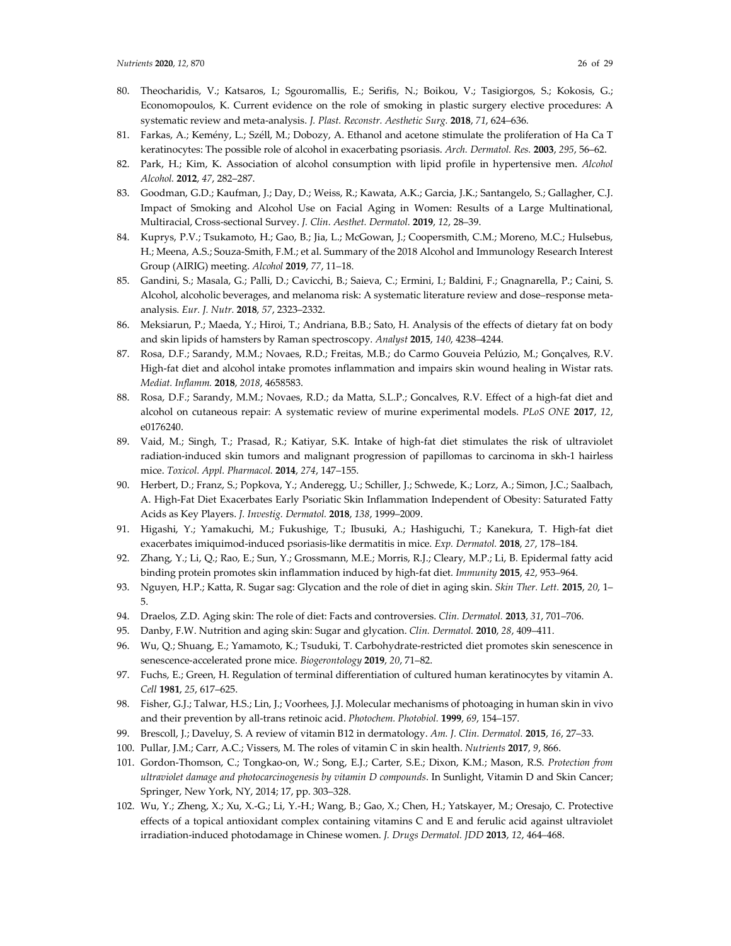- 80. Theocharidis, V.; Katsaros, I.; Sgouromallis, E.; Serifis, N.; Boikou, V.; Tasigiorgos, S.; Kokosis, G.; Economopoulos, K. Current evidence on the role of smoking in plastic surgery elective procedures: A systematic review and meta-analysis. *J. Plast. Reconstr. Aesthetic Surg.* **2018**, *71*, 624–636.
- 81. Farkas, A.; Kemény, L.; Széll, M.; Dobozy, A. Ethanol and acetone stimulate the proliferation of Ha Ca T keratinocytes: The possible role of alcohol in exacerbating psoriasis. *Arch. Dermatol. Res.* **2003**, *295*, 56–62.
- 82. Park, H.; Kim, K. Association of alcohol consumption with lipid profile in hypertensive men. *Alcohol Alcohol.* **2012**, *47*, 282–287.
- 83. Goodman, G.D.; Kaufman, J.; Day, D.; Weiss, R.; Kawata, A.K.; Garcia, J.K.; Santangelo, S.; Gallagher, C.J. Impact of Smoking and Alcohol Use on Facial Aging in Women: Results of a Large Multinational, Multiracial, Cross-sectional Survey. *J. Clin. Aesthet. Dermatol.* **2019**, *12*, 28–39.
- 84. Kuprys, P.V.; Tsukamoto, H.; Gao, B.; Jia, L.; McGowan, J.; Coopersmith, C.M.; Moreno, M.C.; Hulsebus, H.; Meena, A.S.; Souza-Smith, F.M.; et al. Summary of the 2018 Alcohol and Immunology Research Interest Group (AIRIG) meeting. *Alcohol* **2019**, *77*, 11–18.
- 85. Gandini, S.; Masala, G.; Palli, D.; Cavicchi, B.; Saieva, C.; Ermini, I.; Baldini, F.; Gnagnarella, P.; Caini, S. Alcohol, alcoholic beverages, and melanoma risk: A systematic literature review and dose–response metaanalysis. *Eur. J. Nutr.* **2018**, *57*, 2323–2332.
- 86. Meksiarun, P.; Maeda, Y.; Hiroi, T.; Andriana, B.B.; Sato, H. Analysis of the effects of dietary fat on body and skin lipids of hamsters by Raman spectroscopy. *Analyst* **2015**, *140*, 4238–4244.
- 87. Rosa, D.F.; Sarandy, M.M.; Novaes, R.D.; Freitas, M.B.; do Carmo Gouveia Pelúzio, M.; Gonçalves, R.V. High-fat diet and alcohol intake promotes inflammation and impairs skin wound healing in Wistar rats. *Mediat. Inflamm.* **2018**, *2018*, 4658583.
- 88. Rosa, D.F.; Sarandy, M.M.; Novaes, R.D.; da Matta, S.L.P.; Goncalves, R.V. Effect of a high-fat diet and alcohol on cutaneous repair: A systematic review of murine experimental models. *PLoS ONE* **2017**, *12*, e0176240.
- 89. Vaid, M.; Singh, T.; Prasad, R.; Katiyar, S.K. Intake of high-fat diet stimulates the risk of ultraviolet radiation-induced skin tumors and malignant progression of papillomas to carcinoma in skh-1 hairless mice. *Toxicol. Appl. Pharmacol.* **2014**, *274*, 147–155.
- 90. Herbert, D.; Franz, S.; Popkova, Y.; Anderegg, U.; Schiller, J.; Schwede, K.; Lorz, A.; Simon, J.C.; Saalbach, A. High-Fat Diet Exacerbates Early Psoriatic Skin Inflammation Independent of Obesity: Saturated Fatty Acids as Key Players. *J. Investig. Dermatol.* **2018**, *138*, 1999–2009.
- 91. Higashi, Y.; Yamakuchi, M.; Fukushige, T.; Ibusuki, A.; Hashiguchi, T.; Kanekura, T. High-fat diet exacerbates imiquimod-induced psoriasis-like dermatitis in mice. *Exp. Dermatol.* **2018**, *27*, 178–184.
- 92. Zhang, Y.; Li, Q.; Rao, E.; Sun, Y.; Grossmann, M.E.; Morris, R.J.; Cleary, M.P.; Li, B. Epidermal fatty acid binding protein promotes skin inflammation induced by high-fat diet. *Immunity* **2015**, *42*, 953–964.
- 93. Nguyen, H.P.; Katta, R. Sugar sag: Glycation and the role of diet in aging skin. *Skin Ther. Lett.* **2015**, *20*, 1– 5.
- 94. Draelos, Z.D. Aging skin: The role of diet: Facts and controversies. *Clin. Dermatol.* **2013**, *31*, 701–706.
- 95. Danby, F.W. Nutrition and aging skin: Sugar and glycation. *Clin. Dermatol.* **2010**, *28*, 409–411.
- 96. Wu, Q.; Shuang, E.; Yamamoto, K.; Tsuduki, T. Carbohydrate-restricted diet promotes skin senescence in senescence-accelerated prone mice. *Biogerontology* **2019**, *20*, 71–82.
- 97. Fuchs, E.; Green, H. Regulation of terminal differentiation of cultured human keratinocytes by vitamin A. *Cell* **1981**, *25*, 617–625.
- 98. Fisher, G.J.; Talwar, H.S.; Lin, J.; Voorhees, J.J. Molecular mechanisms of photoaging in human skin in vivo and their prevention by all-trans retinoic acid. *Photochem. Photobiol.* **1999**, *69*, 154–157.
- 99. Brescoll, J.; Daveluy, S. A review of vitamin B12 in dermatology. *Am. J. Clin. Dermatol.* **2015**, *16*, 27–33.
- 100. Pullar, J.M.; Carr, A.C.; Vissers, M. The roles of vitamin C in skin health. *Nutrients* **2017**, *9*, 866.
- 101. Gordon-Thomson, C.; Tongkao-on, W.; Song, E.J.; Carter, S.E.; Dixon, K.M.; Mason, R.S. *Protection from ultraviolet damage and photocarcinogenesis by vitamin D compounds*. In Sunlight, Vitamin D and Skin Cancer; Springer, New York, NY, 2014; 17, pp. 303–328.
- 102. Wu, Y.; Zheng, X.; Xu, X.-G.; Li, Y.-H.; Wang, B.; Gao, X.; Chen, H.; Yatskayer, M.; Oresajo, C. Protective effects of a topical antioxidant complex containing vitamins C and E and ferulic acid against ultraviolet irradiation-induced photodamage in Chinese women. *J. Drugs Dermatol. JDD* **2013**, *12*, 464–468.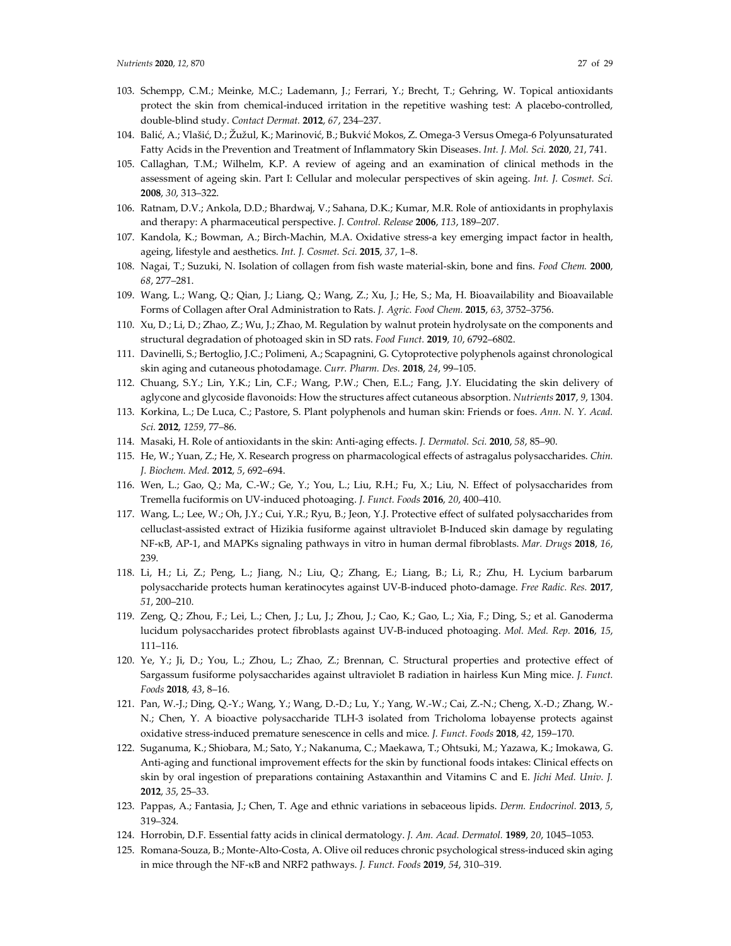- 103. Schempp, C.M.; Meinke, M.C.; Lademann, J.; Ferrari, Y.; Brecht, T.; Gehring, W. Topical antioxidants protect the skin from chemical-induced irritation in the repetitive washing test: A placebo-controlled, double-blind study. *Contact Dermat.* **2012**, *67*, 234–237.
- 104. Balić, A.; Vlašić, D.; Žužul, K.; Marinović, B.; Bukvić Mokos, Z. Omega-3 Versus Omega-6 Polyunsaturated Fatty Acids in the Prevention and Treatment of Inflammatory Skin Diseases. *Int. J. Mol. Sci.* **2020**, *21*, 741.
- 105. Callaghan, T.M.; Wilhelm, K.P. A review of ageing and an examination of clinical methods in the assessment of ageing skin. Part I: Cellular and molecular perspectives of skin ageing. *Int. J. Cosmet. Sci.*  **2008**, *30*, 313–322.
- 106. Ratnam, D.V.; Ankola, D.D.; Bhardwaj, V.; Sahana, D.K.; Kumar, M.R. Role of antioxidants in prophylaxis and therapy: A pharmaceutical perspective. *J. Control. Release* **2006**, *113*, 189–207.
- 107. Kandola, K.; Bowman, A.; Birch-Machin, M.A. Oxidative stress-a key emerging impact factor in health, ageing, lifestyle and aesthetics. *Int. J. Cosmet. Sci.* **2015**, *37*, 1–8.
- 108. Nagai, T.; Suzuki, N. Isolation of collagen from fish waste material-skin, bone and fins. *Food Chem.* **2000**, *68*, 277–281.
- 109. Wang, L.; Wang, Q.; Qian, J.; Liang, Q.; Wang, Z.; Xu, J.; He, S.; Ma, H. Bioavailability and Bioavailable Forms of Collagen after Oral Administration to Rats. *J. Agric. Food Chem.* **2015**, *63*, 3752–3756.
- 110. Xu, D.; Li, D.; Zhao, Z.; Wu, J.; Zhao, M. Regulation by walnut protein hydrolysate on the components and structural degradation of photoaged skin in SD rats. *Food Funct.* **2019**, *10*, 6792–6802.
- 111. Davinelli, S.; Bertoglio, J.C.; Polimeni, A.; Scapagnini, G. Cytoprotective polyphenols against chronological skin aging and cutaneous photodamage. *Curr. Pharm. Des.* **2018**, *24*, 99–105.
- 112. Chuang, S.Y.; Lin, Y.K.; Lin, C.F.; Wang, P.W.; Chen, E.L.; Fang, J.Y. Elucidating the skin delivery of aglycone and glycoside flavonoids: How the structures affect cutaneous absorption. *Nutrients* **2017**, *9*, 1304.
- 113. Korkina, L.; De Luca, C.; Pastore, S. Plant polyphenols and human skin: Friends or foes. *Ann. N. Y. Acad. Sci.* **2012**, *1259*, 77–86.
- 114. Masaki, H. Role of antioxidants in the skin: Anti-aging effects. *J. Dermatol. Sci.* **2010**, *58*, 85–90.
- 115. He, W.; Yuan, Z.; He, X. Research progress on pharmacological effects of astragalus polysaccharides. *Chin. J. Biochem. Med.* **2012**, *5*, 692–694.
- 116. Wen, L.; Gao, Q.; Ma, C.-W.; Ge, Y.; You, L.; Liu, R.H.; Fu, X.; Liu, N. Effect of polysaccharides from Tremella fuciformis on UV-induced photoaging. *J. Funct. Foods* **2016**, *20*, 400–410.
- 117. Wang, L.; Lee, W.; Oh, J.Y.; Cui, Y.R.; Ryu, B.; Jeon, Y.J. Protective effect of sulfated polysaccharides from celluclast-assisted extract of Hizikia fusiforme against ultraviolet B-Induced skin damage by regulating NF-κB, AP-1, and MAPKs signaling pathways in vitro in human dermal fibroblasts. *Mar. Drugs* **2018**, *16*, 239.
- 118. Li, H.; Li, Z.; Peng, L.; Jiang, N.; Liu, Q.; Zhang, E.; Liang, B.; Li, R.; Zhu, H. Lycium barbarum polysaccharide protects human keratinocytes against UV-B-induced photo-damage. *Free Radic. Res.* **2017**, *51*, 200–210.
- 119. Zeng, Q.; Zhou, F.; Lei, L.; Chen, J.; Lu, J.; Zhou, J.; Cao, K.; Gao, L.; Xia, F.; Ding, S.; et al. Ganoderma lucidum polysaccharides protect fibroblasts against UV-B-induced photoaging. *Mol. Med. Rep.* **2016**, *15*, 111–116.
- 120. Ye, Y.; Ji, D.; You, L.; Zhou, L.; Zhao, Z.; Brennan, C. Structural properties and protective effect of Sargassum fusiforme polysaccharides against ultraviolet B radiation in hairless Kun Ming mice. *J. Funct. Foods* **2018**, *43*, 8–16.
- 121. Pan, W.-J.; Ding, Q.-Y.; Wang, Y.; Wang, D.-D.; Lu, Y.; Yang, W.-W.; Cai, Z.-N.; Cheng, X.-D.; Zhang, W.- N.; Chen, Y. A bioactive polysaccharide TLH-3 isolated from Tricholoma lobayense protects against oxidative stress-induced premature senescence in cells and mice. *J. Funct. Foods* **2018**, *42*, 159–170.
- 122. Suganuma, K.; Shiobara, M.; Sato, Y.; Nakanuma, C.; Maekawa, T.; Ohtsuki, M.; Yazawa, K.; Imokawa, G. Anti-aging and functional improvement effects for the skin by functional foods intakes: Clinical effects on skin by oral ingestion of preparations containing Astaxanthin and Vitamins C and E. *Jichi Med. Univ. J.* **2012**, *35*, 25–33.
- 123. Pappas, A.; Fantasia, J.; Chen, T. Age and ethnic variations in sebaceous lipids. *Derm. Endocrinol.* **2013**, *5*, 319–324.
- 124. Horrobin, D.F. Essential fatty acids in clinical dermatology. *J. Am. Acad. Dermatol.* **1989**, *20*, 1045–1053.
- 125. Romana-Souza, B.; Monte-Alto-Costa, A. Olive oil reduces chronic psychological stress-induced skin aging in mice through the NF-κB and NRF2 pathways. *J. Funct. Foods* **2019**, *54*, 310–319.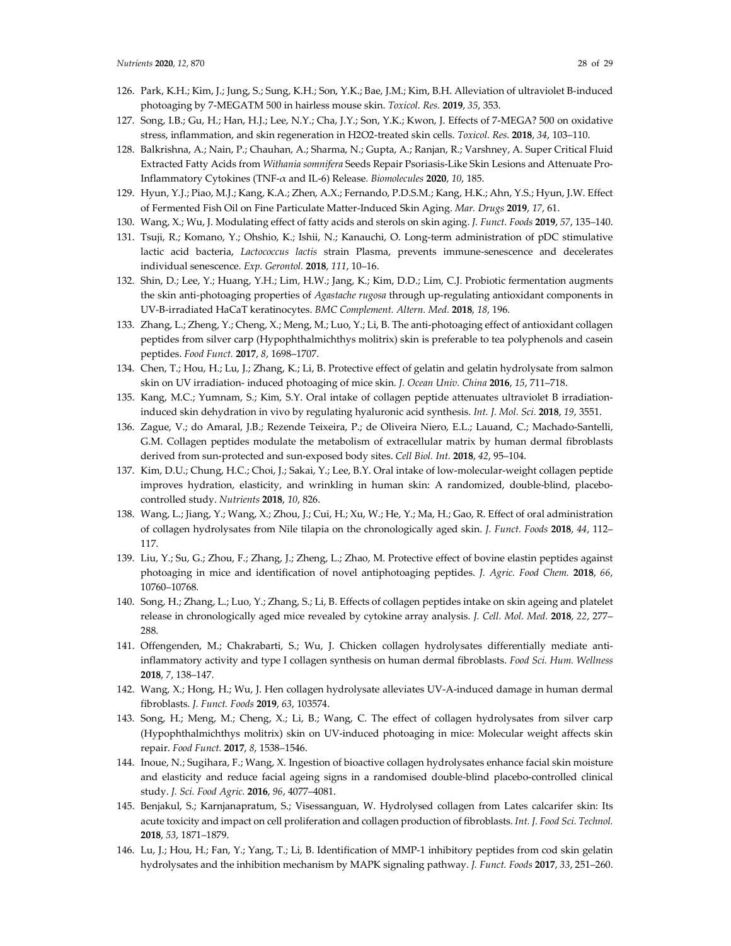- 126. Park, K.H.; Kim, J.; Jung, S.; Sung, K.H.; Son, Y.K.; Bae, J.M.; Kim, B.H. Alleviation of ultraviolet B-induced photoaging by 7-MEGATM 500 in hairless mouse skin. *Toxicol. Res.* **2019**, *35*, 353.
- 127. Song, I.B.; Gu, H.; Han, H.J.; Lee, N.Y.; Cha, J.Y.; Son, Y.K.; Kwon, J. Effects of 7-MEGA? 500 on oxidative stress, inflammation, and skin regeneration in H2O2-treated skin cells. *Toxicol. Res.* **2018**, *34*, 103–110.
- 128. Balkrishna, A.; Nain, P.; Chauhan, A.; Sharma, N.; Gupta, A.; Ranjan, R.; Varshney, A. Super Critical Fluid Extracted Fatty Acids from *Withania somnifera* Seeds Repair Psoriasis-Like Skin Lesions and Attenuate Pro-Inflammatory Cytokines (TNF-α and IL-6) Release. *Biomolecules* **2020**, *10*, 185.
- 129. Hyun, Y.J.; Piao, M.J.; Kang, K.A.; Zhen, A.X.; Fernando, P.D.S.M.; Kang, H.K.; Ahn, Y.S.; Hyun, J.W. Effect of Fermented Fish Oil on Fine Particulate Matter-Induced Skin Aging. *Mar. Drugs* **2019**, *17*, 61.
- 130. Wang, X.; Wu, J. Modulating effect of fatty acids and sterols on skin aging. *J. Funct. Foods* **2019**, *57*, 135–140.
- 131. Tsuji, R.; Komano, Y.; Ohshio, K.; Ishii, N.; Kanauchi, O. Long-term administration of pDC stimulative lactic acid bacteria, *Lactococcus lactis* strain Plasma, prevents immune-senescence and decelerates individual senescence. *Exp. Gerontol.* **2018**, *111*, 10–16.
- 132. Shin, D.; Lee, Y.; Huang, Y.H.; Lim, H.W.; Jang, K.; Kim, D.D.; Lim, C.J. Probiotic fermentation augments the skin anti-photoaging properties of *Agastache rugosa* through up-regulating antioxidant components in UV-B-irradiated HaCaT keratinocytes. *BMC Complement. Altern. Med.* **2018**, *18*, 196.
- 133. Zhang, L.; Zheng, Y.; Cheng, X.; Meng, M.; Luo, Y.; Li, B. The anti-photoaging effect of antioxidant collagen peptides from silver carp (Hypophthalmichthys molitrix) skin is preferable to tea polyphenols and casein peptides. *Food Funct.* **2017**, *8*, 1698–1707.
- 134. Chen, T.; Hou, H.; Lu, J.; Zhang, K.; Li, B. Protective effect of gelatin and gelatin hydrolysate from salmon skin on UV irradiation- induced photoaging of mice skin. *J. Ocean Univ. China* **2016**, *15*, 711–718.
- 135. Kang, M.C.; Yumnam, S.; Kim, S.Y. Oral intake of collagen peptide attenuates ultraviolet B irradiationinduced skin dehydration in vivo by regulating hyaluronic acid synthesis. *Int. J. Mol. Sci.* **2018**, *19*, 3551.
- 136. Zague, V.; do Amaral, J.B.; Rezende Teixeira, P.; de Oliveira Niero, E.L.; Lauand, C.; Machado-Santelli, G.M. Collagen peptides modulate the metabolism of extracellular matrix by human dermal fibroblasts derived from sun-protected and sun-exposed body sites. *Cell Biol. Int.* **2018**, *42*, 95–104.
- 137. Kim, D.U.; Chung, H.C.; Choi, J.; Sakai, Y.; Lee, B.Y. Oral intake of low-molecular-weight collagen peptide improves hydration, elasticity, and wrinkling in human skin: A randomized, double-blind, placebocontrolled study. *Nutrients* **2018**, *10*, 826.
- 138. Wang, L.; Jiang, Y.; Wang, X.; Zhou, J.; Cui, H.; Xu, W.; He, Y.; Ma, H.; Gao, R. Effect of oral administration of collagen hydrolysates from Nile tilapia on the chronologically aged skin. *J. Funct. Foods* **2018**, *44*, 112– 117.
- 139. Liu, Y.; Su, G.; Zhou, F.; Zhang, J.; Zheng, L.; Zhao, M. Protective effect of bovine elastin peptides against photoaging in mice and identification of novel antiphotoaging peptides. *J. Agric. Food Chem.* **2018**, *66*, 10760–10768.
- 140. Song, H.; Zhang, L.; Luo, Y.; Zhang, S.; Li, B. Effects of collagen peptides intake on skin ageing and platelet release in chronologically aged mice revealed by cytokine array analysis. *J. Cell. Mol. Med.* **2018**, *22*, 277– 288.
- 141. Offengenden, M.; Chakrabarti, S.; Wu, J. Chicken collagen hydrolysates differentially mediate antiinflammatory activity and type I collagen synthesis on human dermal fibroblasts. *Food Sci. Hum. Wellness*  **2018**, *7*, 138–147.
- 142. Wang, X.; Hong, H.; Wu, J. Hen collagen hydrolysate alleviates UV-A-induced damage in human dermal fibroblasts. *J. Funct. Foods* **2019**, *63*, 103574.
- 143. Song, H.; Meng, M.; Cheng, X.; Li, B.; Wang, C. The effect of collagen hydrolysates from silver carp (Hypophthalmichthys molitrix) skin on UV-induced photoaging in mice: Molecular weight affects skin repair. *Food Funct.* **2017**, *8*, 1538–1546.
- 144. Inoue, N.; Sugihara, F.; Wang, X. Ingestion of bioactive collagen hydrolysates enhance facial skin moisture and elasticity and reduce facial ageing signs in a randomised double-blind placebo-controlled clinical study. *J. Sci. Food Agric.* **2016**, *96*, 4077–4081.
- 145. Benjakul, S.; Karnjanapratum, S.; Visessanguan, W. Hydrolysed collagen from Lates calcarifer skin: Its acute toxicity and impact on cell proliferation and collagen production of fibroblasts. *Int. J. Food Sci. Technol.*  **2018**, *53*, 1871–1879.
- 146. Lu, J.; Hou, H.; Fan, Y.; Yang, T.; Li, B. Identification of MMP-1 inhibitory peptides from cod skin gelatin hydrolysates and the inhibition mechanism by MAPK signaling pathway. *J. Funct. Foods* **2017**, *33*, 251–260.